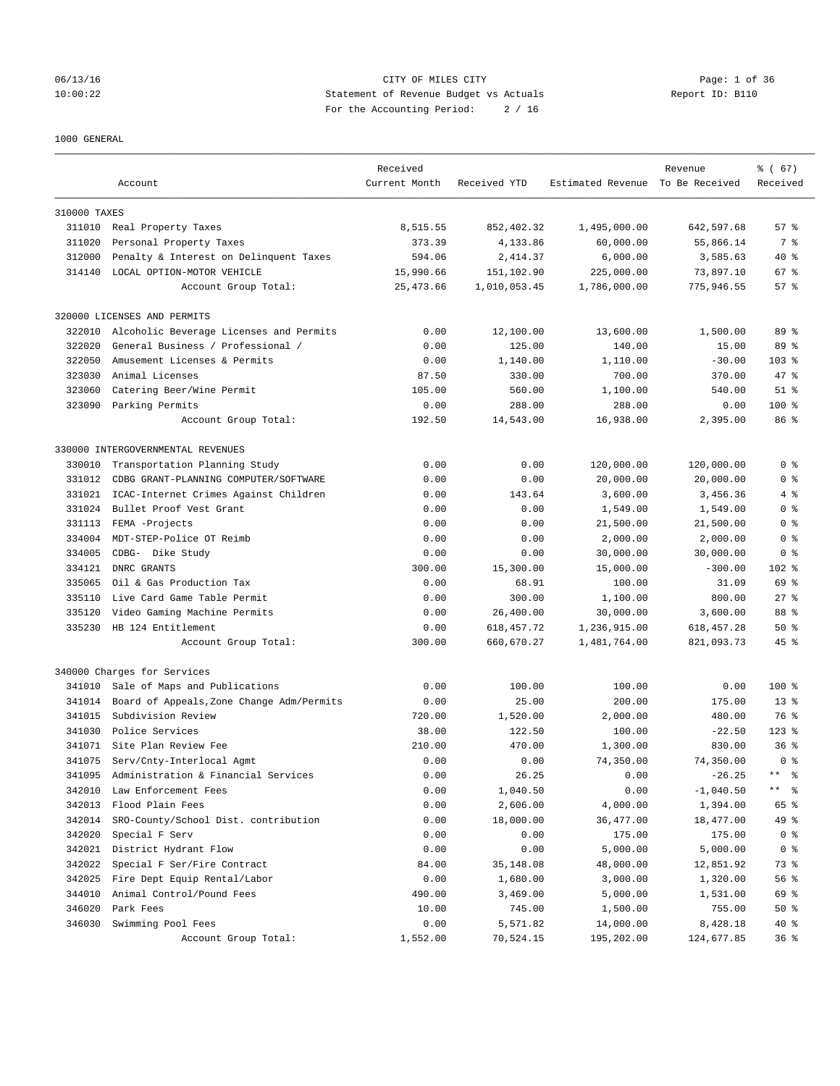#### 06/13/16 CITY OF MILES CITY Page: 1 of 36 10:00:22 Statement of Revenue Budget vs Actuals Report ID: B110 For the Accounting Period: 2 / 16

## 1000 GENERAL

| Current Month<br>Received YTD<br>Estimated Revenue To Be Received<br>Received<br>Account<br>310000 TAXES<br>8,515.55<br>57%<br>311010 Real Property Taxes<br>852,402.32<br>1,495,000.00<br>642,597.68<br>Personal Property Taxes<br>373.39<br>4,133.86<br>60,000.00<br>55,866.14<br>7 %<br>311020<br>312000<br>Penalty & Interest on Delinquent Taxes<br>594.06<br>2,414.37<br>6,000.00<br>3,585.63<br>$40*$<br>314140<br>LOCAL OPTION-MOTOR VEHICLE<br>15,990.66<br>151,102.90<br>225,000.00<br>67 %<br>73,897.10<br>Account Group Total:<br>25, 473.66<br>1,010,053.45<br>1,786,000.00<br>775,946.55<br>57%<br>320000 LICENSES AND PERMITS<br>0.00<br>1,500.00<br>89 %<br>322010<br>Alcoholic Beverage Licenses and Permits<br>12,100.00<br>13,600.00<br>322020<br>General Business / Professional /<br>0.00<br>125.00<br>15.00<br>89 %<br>140.00<br>322050<br>Amusement Licenses & Permits<br>0.00<br>1,140.00<br>1,110.00<br>$-30.00$<br>$103*$<br>323030<br>Animal Licenses<br>87.50<br>700.00<br>47.8<br>330.00<br>370.00<br>323060<br>Catering Beer/Wine Permit<br>105.00<br>560.00<br>1,100.00<br>$51$ %<br>540.00<br>323090<br>Parking Permits<br>0.00<br>288.00<br>288.00<br>$100$ %<br>0.00<br>16,938.00<br>86 %<br>Account Group Total:<br>192.50<br>14,543.00<br>2,395.00<br>330000 INTERGOVERNMENTAL REVENUES<br>0.00<br>0.00<br>120,000.00<br>120,000.00<br>0 <sup>8</sup><br>330010<br>Transportation Planning Study<br>331012<br>CDBG GRANT-PLANNING COMPUTER/SOFTWARE<br>0.00<br>0.00<br>20,000.00<br>20,000.00<br>0 <sup>8</sup><br>3,600.00<br>4%<br>331021<br>ICAC-Internet Crimes Against Children<br>0.00<br>143.64<br>3,456.36<br>331024<br>Bullet Proof Vest Grant<br>0.00<br>1,549.00<br>0 <sup>8</sup><br>0.00<br>1,549.00<br>FEMA -Projects<br>0.00<br>331113<br>0.00<br>21,500.00<br>21,500.00<br>0 %<br>334004<br>MDT-STEP-Police OT Reimb<br>0.00<br>0.00<br>2,000.00<br>2,000.00<br>0 <sup>8</sup><br>334005<br>CDBG- Dike Study<br>0.00<br>0.00<br>30,000.00<br>30,000.00<br>0 <sup>8</sup><br>334121<br>DNRC GRANTS<br>300.00<br>15,300.00<br>$-300.00$<br>$102$ %<br>15,000.00<br>335065<br>0.00<br>68.91<br>100.00<br>69 %<br>Oil & Gas Production Tax<br>31.09<br>Live Card Game Table Permit<br>0.00<br>800.00<br>$27$ $%$<br>335110<br>300.00<br>1,100.00<br>335120<br>Video Gaming Machine Permits<br>0.00<br>26,400.00<br>30,000.00<br>3,600.00<br>88 %<br>335230<br>HB 124 Entitlement<br>0.00<br>618, 457. 72<br>1,236,915.00<br>618, 457.28<br>50%<br>$45$ %<br>Account Group Total:<br>300.00<br>660,670.27<br>1,481,764.00<br>821,093.73<br>340000 Charges for Services<br>Sale of Maps and Publications<br>0.00<br>100.00<br>100.00<br>0.00<br>$100$ %<br>341010<br>341014<br>Board of Appeals, Zone Change Adm/Permits<br>0.00<br>25.00<br>200.00<br>175.00<br>$13*$<br>341015<br>Subdivision Review<br>1,520.00<br>2,000.00<br>76 %<br>720.00<br>480.00<br>341030<br>Police Services<br>38.00<br>122.50<br>100.00<br>$123$ %<br>$-22.50$<br>341071<br>Site Plan Review Fee<br>210.00<br>830.00<br>36 <sup>8</sup><br>470.00<br>1,300.00<br>341075<br>0.00<br>0.00<br>74,350.00<br>74,350.00<br>0 <sup>8</sup><br>Serv/Cnty-Interlocal Agmt<br>Administration & Financial Services<br>0.00<br>26.25<br>0.00<br>$-26.25$<br>$\star\star$<br>နွ<br>341095<br>342010<br>Law Enforcement Fees<br>0.00<br>1,040.50<br>0.00<br>$-1,040.50$<br>$\star\star$<br>ႜ<br>342013<br>Flood Plain Fees<br>0.00<br>2,606.00<br>1,394.00<br>65 %<br>4,000.00<br>342014<br>SRO-County/School Dist. contribution<br>0.00<br>49 %<br>18,000.00<br>36,477.00<br>18,477.00<br>342020<br>Special F Serv<br>0.00<br>175.00<br>0 <sup>8</sup><br>0.00<br>175.00<br>342021<br>District Hydrant Flow<br>0.00<br>0.00<br>5,000.00<br>5,000.00<br>0 <sup>8</sup><br>342022<br>84.00<br>48,000.00<br>Special F Ser/Fire Contract<br>35,148.08<br>12,851.92<br>73 %<br>342025<br>0.00<br>Fire Dept Equip Rental/Labor<br>1,680.00<br>3,000.00<br>1,320.00<br>56 %<br>344010<br>Animal Control/Pound Fees<br>490.00<br>3,469.00<br>5,000.00<br>1,531.00<br>69 %<br>346020<br>Park Fees<br>10.00<br>745.00<br>1,500.00<br>755.00<br>$50*$<br>346030<br>Swimming Pool Fees<br>0.00<br>14,000.00<br>8,428.18<br>40 %<br>5,571.82 |                      | Received |           |            | Revenue    | 8 ( 67) |
|-----------------------------------------------------------------------------------------------------------------------------------------------------------------------------------------------------------------------------------------------------------------------------------------------------------------------------------------------------------------------------------------------------------------------------------------------------------------------------------------------------------------------------------------------------------------------------------------------------------------------------------------------------------------------------------------------------------------------------------------------------------------------------------------------------------------------------------------------------------------------------------------------------------------------------------------------------------------------------------------------------------------------------------------------------------------------------------------------------------------------------------------------------------------------------------------------------------------------------------------------------------------------------------------------------------------------------------------------------------------------------------------------------------------------------------------------------------------------------------------------------------------------------------------------------------------------------------------------------------------------------------------------------------------------------------------------------------------------------------------------------------------------------------------------------------------------------------------------------------------------------------------------------------------------------------------------------------------------------------------------------------------------------------------------------------------------------------------------------------------------------------------------------------------------------------------------------------------------------------------------------------------------------------------------------------------------------------------------------------------------------------------------------------------------------------------------------------------------------------------------------------------------------------------------------------------------------------------------------------------------------------------------------------------------------------------------------------------------------------------------------------------------------------------------------------------------------------------------------------------------------------------------------------------------------------------------------------------------------------------------------------------------------------------------------------------------------------------------------------------------------------------------------------------------------------------------------------------------------------------------------------------------------------------------------------------------------------------------------------------------------------------------------------------------------------------------------------------------------------------------------------------------------------------------------------------------------------------------------------------------------------------------------------------------------------------------------------------------------------------------------------------------------------------------------------------------------------------------------------------------------------------------------------------------------------------------------------------------------------------------------------------------------------------------------------------------------------------------------------------------------------------------------------------------------------------------------------------------------------------------|----------------------|----------|-----------|------------|------------|---------|
|                                                                                                                                                                                                                                                                                                                                                                                                                                                                                                                                                                                                                                                                                                                                                                                                                                                                                                                                                                                                                                                                                                                                                                                                                                                                                                                                                                                                                                                                                                                                                                                                                                                                                                                                                                                                                                                                                                                                                                                                                                                                                                                                                                                                                                                                                                                                                                                                                                                                                                                                                                                                                                                                                                                                                                                                                                                                                                                                                                                                                                                                                                                                                                                                                                                                                                                                                                                                                                                                                                                                                                                                                                                                                                                                                                                                                                                                                                                                                                                                                                                                                                                                                                                                                                               |                      |          |           |            |            |         |
|                                                                                                                                                                                                                                                                                                                                                                                                                                                                                                                                                                                                                                                                                                                                                                                                                                                                                                                                                                                                                                                                                                                                                                                                                                                                                                                                                                                                                                                                                                                                                                                                                                                                                                                                                                                                                                                                                                                                                                                                                                                                                                                                                                                                                                                                                                                                                                                                                                                                                                                                                                                                                                                                                                                                                                                                                                                                                                                                                                                                                                                                                                                                                                                                                                                                                                                                                                                                                                                                                                                                                                                                                                                                                                                                                                                                                                                                                                                                                                                                                                                                                                                                                                                                                                               |                      |          |           |            |            |         |
|                                                                                                                                                                                                                                                                                                                                                                                                                                                                                                                                                                                                                                                                                                                                                                                                                                                                                                                                                                                                                                                                                                                                                                                                                                                                                                                                                                                                                                                                                                                                                                                                                                                                                                                                                                                                                                                                                                                                                                                                                                                                                                                                                                                                                                                                                                                                                                                                                                                                                                                                                                                                                                                                                                                                                                                                                                                                                                                                                                                                                                                                                                                                                                                                                                                                                                                                                                                                                                                                                                                                                                                                                                                                                                                                                                                                                                                                                                                                                                                                                                                                                                                                                                                                                                               |                      |          |           |            |            |         |
|                                                                                                                                                                                                                                                                                                                                                                                                                                                                                                                                                                                                                                                                                                                                                                                                                                                                                                                                                                                                                                                                                                                                                                                                                                                                                                                                                                                                                                                                                                                                                                                                                                                                                                                                                                                                                                                                                                                                                                                                                                                                                                                                                                                                                                                                                                                                                                                                                                                                                                                                                                                                                                                                                                                                                                                                                                                                                                                                                                                                                                                                                                                                                                                                                                                                                                                                                                                                                                                                                                                                                                                                                                                                                                                                                                                                                                                                                                                                                                                                                                                                                                                                                                                                                                               |                      |          |           |            |            |         |
|                                                                                                                                                                                                                                                                                                                                                                                                                                                                                                                                                                                                                                                                                                                                                                                                                                                                                                                                                                                                                                                                                                                                                                                                                                                                                                                                                                                                                                                                                                                                                                                                                                                                                                                                                                                                                                                                                                                                                                                                                                                                                                                                                                                                                                                                                                                                                                                                                                                                                                                                                                                                                                                                                                                                                                                                                                                                                                                                                                                                                                                                                                                                                                                                                                                                                                                                                                                                                                                                                                                                                                                                                                                                                                                                                                                                                                                                                                                                                                                                                                                                                                                                                                                                                                               |                      |          |           |            |            |         |
|                                                                                                                                                                                                                                                                                                                                                                                                                                                                                                                                                                                                                                                                                                                                                                                                                                                                                                                                                                                                                                                                                                                                                                                                                                                                                                                                                                                                                                                                                                                                                                                                                                                                                                                                                                                                                                                                                                                                                                                                                                                                                                                                                                                                                                                                                                                                                                                                                                                                                                                                                                                                                                                                                                                                                                                                                                                                                                                                                                                                                                                                                                                                                                                                                                                                                                                                                                                                                                                                                                                                                                                                                                                                                                                                                                                                                                                                                                                                                                                                                                                                                                                                                                                                                                               |                      |          |           |            |            |         |
|                                                                                                                                                                                                                                                                                                                                                                                                                                                                                                                                                                                                                                                                                                                                                                                                                                                                                                                                                                                                                                                                                                                                                                                                                                                                                                                                                                                                                                                                                                                                                                                                                                                                                                                                                                                                                                                                                                                                                                                                                                                                                                                                                                                                                                                                                                                                                                                                                                                                                                                                                                                                                                                                                                                                                                                                                                                                                                                                                                                                                                                                                                                                                                                                                                                                                                                                                                                                                                                                                                                                                                                                                                                                                                                                                                                                                                                                                                                                                                                                                                                                                                                                                                                                                                               |                      |          |           |            |            |         |
|                                                                                                                                                                                                                                                                                                                                                                                                                                                                                                                                                                                                                                                                                                                                                                                                                                                                                                                                                                                                                                                                                                                                                                                                                                                                                                                                                                                                                                                                                                                                                                                                                                                                                                                                                                                                                                                                                                                                                                                                                                                                                                                                                                                                                                                                                                                                                                                                                                                                                                                                                                                                                                                                                                                                                                                                                                                                                                                                                                                                                                                                                                                                                                                                                                                                                                                                                                                                                                                                                                                                                                                                                                                                                                                                                                                                                                                                                                                                                                                                                                                                                                                                                                                                                                               |                      |          |           |            |            |         |
|                                                                                                                                                                                                                                                                                                                                                                                                                                                                                                                                                                                                                                                                                                                                                                                                                                                                                                                                                                                                                                                                                                                                                                                                                                                                                                                                                                                                                                                                                                                                                                                                                                                                                                                                                                                                                                                                                                                                                                                                                                                                                                                                                                                                                                                                                                                                                                                                                                                                                                                                                                                                                                                                                                                                                                                                                                                                                                                                                                                                                                                                                                                                                                                                                                                                                                                                                                                                                                                                                                                                                                                                                                                                                                                                                                                                                                                                                                                                                                                                                                                                                                                                                                                                                                               |                      |          |           |            |            |         |
|                                                                                                                                                                                                                                                                                                                                                                                                                                                                                                                                                                                                                                                                                                                                                                                                                                                                                                                                                                                                                                                                                                                                                                                                                                                                                                                                                                                                                                                                                                                                                                                                                                                                                                                                                                                                                                                                                                                                                                                                                                                                                                                                                                                                                                                                                                                                                                                                                                                                                                                                                                                                                                                                                                                                                                                                                                                                                                                                                                                                                                                                                                                                                                                                                                                                                                                                                                                                                                                                                                                                                                                                                                                                                                                                                                                                                                                                                                                                                                                                                                                                                                                                                                                                                                               |                      |          |           |            |            |         |
|                                                                                                                                                                                                                                                                                                                                                                                                                                                                                                                                                                                                                                                                                                                                                                                                                                                                                                                                                                                                                                                                                                                                                                                                                                                                                                                                                                                                                                                                                                                                                                                                                                                                                                                                                                                                                                                                                                                                                                                                                                                                                                                                                                                                                                                                                                                                                                                                                                                                                                                                                                                                                                                                                                                                                                                                                                                                                                                                                                                                                                                                                                                                                                                                                                                                                                                                                                                                                                                                                                                                                                                                                                                                                                                                                                                                                                                                                                                                                                                                                                                                                                                                                                                                                                               |                      |          |           |            |            |         |
|                                                                                                                                                                                                                                                                                                                                                                                                                                                                                                                                                                                                                                                                                                                                                                                                                                                                                                                                                                                                                                                                                                                                                                                                                                                                                                                                                                                                                                                                                                                                                                                                                                                                                                                                                                                                                                                                                                                                                                                                                                                                                                                                                                                                                                                                                                                                                                                                                                                                                                                                                                                                                                                                                                                                                                                                                                                                                                                                                                                                                                                                                                                                                                                                                                                                                                                                                                                                                                                                                                                                                                                                                                                                                                                                                                                                                                                                                                                                                                                                                                                                                                                                                                                                                                               |                      |          |           |            |            |         |
|                                                                                                                                                                                                                                                                                                                                                                                                                                                                                                                                                                                                                                                                                                                                                                                                                                                                                                                                                                                                                                                                                                                                                                                                                                                                                                                                                                                                                                                                                                                                                                                                                                                                                                                                                                                                                                                                                                                                                                                                                                                                                                                                                                                                                                                                                                                                                                                                                                                                                                                                                                                                                                                                                                                                                                                                                                                                                                                                                                                                                                                                                                                                                                                                                                                                                                                                                                                                                                                                                                                                                                                                                                                                                                                                                                                                                                                                                                                                                                                                                                                                                                                                                                                                                                               |                      |          |           |            |            |         |
|                                                                                                                                                                                                                                                                                                                                                                                                                                                                                                                                                                                                                                                                                                                                                                                                                                                                                                                                                                                                                                                                                                                                                                                                                                                                                                                                                                                                                                                                                                                                                                                                                                                                                                                                                                                                                                                                                                                                                                                                                                                                                                                                                                                                                                                                                                                                                                                                                                                                                                                                                                                                                                                                                                                                                                                                                                                                                                                                                                                                                                                                                                                                                                                                                                                                                                                                                                                                                                                                                                                                                                                                                                                                                                                                                                                                                                                                                                                                                                                                                                                                                                                                                                                                                                               |                      |          |           |            |            |         |
|                                                                                                                                                                                                                                                                                                                                                                                                                                                                                                                                                                                                                                                                                                                                                                                                                                                                                                                                                                                                                                                                                                                                                                                                                                                                                                                                                                                                                                                                                                                                                                                                                                                                                                                                                                                                                                                                                                                                                                                                                                                                                                                                                                                                                                                                                                                                                                                                                                                                                                                                                                                                                                                                                                                                                                                                                                                                                                                                                                                                                                                                                                                                                                                                                                                                                                                                                                                                                                                                                                                                                                                                                                                                                                                                                                                                                                                                                                                                                                                                                                                                                                                                                                                                                                               |                      |          |           |            |            |         |
|                                                                                                                                                                                                                                                                                                                                                                                                                                                                                                                                                                                                                                                                                                                                                                                                                                                                                                                                                                                                                                                                                                                                                                                                                                                                                                                                                                                                                                                                                                                                                                                                                                                                                                                                                                                                                                                                                                                                                                                                                                                                                                                                                                                                                                                                                                                                                                                                                                                                                                                                                                                                                                                                                                                                                                                                                                                                                                                                                                                                                                                                                                                                                                                                                                                                                                                                                                                                                                                                                                                                                                                                                                                                                                                                                                                                                                                                                                                                                                                                                                                                                                                                                                                                                                               |                      |          |           |            |            |         |
|                                                                                                                                                                                                                                                                                                                                                                                                                                                                                                                                                                                                                                                                                                                                                                                                                                                                                                                                                                                                                                                                                                                                                                                                                                                                                                                                                                                                                                                                                                                                                                                                                                                                                                                                                                                                                                                                                                                                                                                                                                                                                                                                                                                                                                                                                                                                                                                                                                                                                                                                                                                                                                                                                                                                                                                                                                                                                                                                                                                                                                                                                                                                                                                                                                                                                                                                                                                                                                                                                                                                                                                                                                                                                                                                                                                                                                                                                                                                                                                                                                                                                                                                                                                                                                               |                      |          |           |            |            |         |
|                                                                                                                                                                                                                                                                                                                                                                                                                                                                                                                                                                                                                                                                                                                                                                                                                                                                                                                                                                                                                                                                                                                                                                                                                                                                                                                                                                                                                                                                                                                                                                                                                                                                                                                                                                                                                                                                                                                                                                                                                                                                                                                                                                                                                                                                                                                                                                                                                                                                                                                                                                                                                                                                                                                                                                                                                                                                                                                                                                                                                                                                                                                                                                                                                                                                                                                                                                                                                                                                                                                                                                                                                                                                                                                                                                                                                                                                                                                                                                                                                                                                                                                                                                                                                                               |                      |          |           |            |            |         |
|                                                                                                                                                                                                                                                                                                                                                                                                                                                                                                                                                                                                                                                                                                                                                                                                                                                                                                                                                                                                                                                                                                                                                                                                                                                                                                                                                                                                                                                                                                                                                                                                                                                                                                                                                                                                                                                                                                                                                                                                                                                                                                                                                                                                                                                                                                                                                                                                                                                                                                                                                                                                                                                                                                                                                                                                                                                                                                                                                                                                                                                                                                                                                                                                                                                                                                                                                                                                                                                                                                                                                                                                                                                                                                                                                                                                                                                                                                                                                                                                                                                                                                                                                                                                                                               |                      |          |           |            |            |         |
|                                                                                                                                                                                                                                                                                                                                                                                                                                                                                                                                                                                                                                                                                                                                                                                                                                                                                                                                                                                                                                                                                                                                                                                                                                                                                                                                                                                                                                                                                                                                                                                                                                                                                                                                                                                                                                                                                                                                                                                                                                                                                                                                                                                                                                                                                                                                                                                                                                                                                                                                                                                                                                                                                                                                                                                                                                                                                                                                                                                                                                                                                                                                                                                                                                                                                                                                                                                                                                                                                                                                                                                                                                                                                                                                                                                                                                                                                                                                                                                                                                                                                                                                                                                                                                               |                      |          |           |            |            |         |
|                                                                                                                                                                                                                                                                                                                                                                                                                                                                                                                                                                                                                                                                                                                                                                                                                                                                                                                                                                                                                                                                                                                                                                                                                                                                                                                                                                                                                                                                                                                                                                                                                                                                                                                                                                                                                                                                                                                                                                                                                                                                                                                                                                                                                                                                                                                                                                                                                                                                                                                                                                                                                                                                                                                                                                                                                                                                                                                                                                                                                                                                                                                                                                                                                                                                                                                                                                                                                                                                                                                                                                                                                                                                                                                                                                                                                                                                                                                                                                                                                                                                                                                                                                                                                                               |                      |          |           |            |            |         |
|                                                                                                                                                                                                                                                                                                                                                                                                                                                                                                                                                                                                                                                                                                                                                                                                                                                                                                                                                                                                                                                                                                                                                                                                                                                                                                                                                                                                                                                                                                                                                                                                                                                                                                                                                                                                                                                                                                                                                                                                                                                                                                                                                                                                                                                                                                                                                                                                                                                                                                                                                                                                                                                                                                                                                                                                                                                                                                                                                                                                                                                                                                                                                                                                                                                                                                                                                                                                                                                                                                                                                                                                                                                                                                                                                                                                                                                                                                                                                                                                                                                                                                                                                                                                                                               |                      |          |           |            |            |         |
|                                                                                                                                                                                                                                                                                                                                                                                                                                                                                                                                                                                                                                                                                                                                                                                                                                                                                                                                                                                                                                                                                                                                                                                                                                                                                                                                                                                                                                                                                                                                                                                                                                                                                                                                                                                                                                                                                                                                                                                                                                                                                                                                                                                                                                                                                                                                                                                                                                                                                                                                                                                                                                                                                                                                                                                                                                                                                                                                                                                                                                                                                                                                                                                                                                                                                                                                                                                                                                                                                                                                                                                                                                                                                                                                                                                                                                                                                                                                                                                                                                                                                                                                                                                                                                               |                      |          |           |            |            |         |
|                                                                                                                                                                                                                                                                                                                                                                                                                                                                                                                                                                                                                                                                                                                                                                                                                                                                                                                                                                                                                                                                                                                                                                                                                                                                                                                                                                                                                                                                                                                                                                                                                                                                                                                                                                                                                                                                                                                                                                                                                                                                                                                                                                                                                                                                                                                                                                                                                                                                                                                                                                                                                                                                                                                                                                                                                                                                                                                                                                                                                                                                                                                                                                                                                                                                                                                                                                                                                                                                                                                                                                                                                                                                                                                                                                                                                                                                                                                                                                                                                                                                                                                                                                                                                                               |                      |          |           |            |            |         |
|                                                                                                                                                                                                                                                                                                                                                                                                                                                                                                                                                                                                                                                                                                                                                                                                                                                                                                                                                                                                                                                                                                                                                                                                                                                                                                                                                                                                                                                                                                                                                                                                                                                                                                                                                                                                                                                                                                                                                                                                                                                                                                                                                                                                                                                                                                                                                                                                                                                                                                                                                                                                                                                                                                                                                                                                                                                                                                                                                                                                                                                                                                                                                                                                                                                                                                                                                                                                                                                                                                                                                                                                                                                                                                                                                                                                                                                                                                                                                                                                                                                                                                                                                                                                                                               |                      |          |           |            |            |         |
|                                                                                                                                                                                                                                                                                                                                                                                                                                                                                                                                                                                                                                                                                                                                                                                                                                                                                                                                                                                                                                                                                                                                                                                                                                                                                                                                                                                                                                                                                                                                                                                                                                                                                                                                                                                                                                                                                                                                                                                                                                                                                                                                                                                                                                                                                                                                                                                                                                                                                                                                                                                                                                                                                                                                                                                                                                                                                                                                                                                                                                                                                                                                                                                                                                                                                                                                                                                                                                                                                                                                                                                                                                                                                                                                                                                                                                                                                                                                                                                                                                                                                                                                                                                                                                               |                      |          |           |            |            |         |
|                                                                                                                                                                                                                                                                                                                                                                                                                                                                                                                                                                                                                                                                                                                                                                                                                                                                                                                                                                                                                                                                                                                                                                                                                                                                                                                                                                                                                                                                                                                                                                                                                                                                                                                                                                                                                                                                                                                                                                                                                                                                                                                                                                                                                                                                                                                                                                                                                                                                                                                                                                                                                                                                                                                                                                                                                                                                                                                                                                                                                                                                                                                                                                                                                                                                                                                                                                                                                                                                                                                                                                                                                                                                                                                                                                                                                                                                                                                                                                                                                                                                                                                                                                                                                                               |                      |          |           |            |            |         |
|                                                                                                                                                                                                                                                                                                                                                                                                                                                                                                                                                                                                                                                                                                                                                                                                                                                                                                                                                                                                                                                                                                                                                                                                                                                                                                                                                                                                                                                                                                                                                                                                                                                                                                                                                                                                                                                                                                                                                                                                                                                                                                                                                                                                                                                                                                                                                                                                                                                                                                                                                                                                                                                                                                                                                                                                                                                                                                                                                                                                                                                                                                                                                                                                                                                                                                                                                                                                                                                                                                                                                                                                                                                                                                                                                                                                                                                                                                                                                                                                                                                                                                                                                                                                                                               |                      |          |           |            |            |         |
|                                                                                                                                                                                                                                                                                                                                                                                                                                                                                                                                                                                                                                                                                                                                                                                                                                                                                                                                                                                                                                                                                                                                                                                                                                                                                                                                                                                                                                                                                                                                                                                                                                                                                                                                                                                                                                                                                                                                                                                                                                                                                                                                                                                                                                                                                                                                                                                                                                                                                                                                                                                                                                                                                                                                                                                                                                                                                                                                                                                                                                                                                                                                                                                                                                                                                                                                                                                                                                                                                                                                                                                                                                                                                                                                                                                                                                                                                                                                                                                                                                                                                                                                                                                                                                               |                      |          |           |            |            |         |
|                                                                                                                                                                                                                                                                                                                                                                                                                                                                                                                                                                                                                                                                                                                                                                                                                                                                                                                                                                                                                                                                                                                                                                                                                                                                                                                                                                                                                                                                                                                                                                                                                                                                                                                                                                                                                                                                                                                                                                                                                                                                                                                                                                                                                                                                                                                                                                                                                                                                                                                                                                                                                                                                                                                                                                                                                                                                                                                                                                                                                                                                                                                                                                                                                                                                                                                                                                                                                                                                                                                                                                                                                                                                                                                                                                                                                                                                                                                                                                                                                                                                                                                                                                                                                                               |                      |          |           |            |            |         |
|                                                                                                                                                                                                                                                                                                                                                                                                                                                                                                                                                                                                                                                                                                                                                                                                                                                                                                                                                                                                                                                                                                                                                                                                                                                                                                                                                                                                                                                                                                                                                                                                                                                                                                                                                                                                                                                                                                                                                                                                                                                                                                                                                                                                                                                                                                                                                                                                                                                                                                                                                                                                                                                                                                                                                                                                                                                                                                                                                                                                                                                                                                                                                                                                                                                                                                                                                                                                                                                                                                                                                                                                                                                                                                                                                                                                                                                                                                                                                                                                                                                                                                                                                                                                                                               |                      |          |           |            |            |         |
|                                                                                                                                                                                                                                                                                                                                                                                                                                                                                                                                                                                                                                                                                                                                                                                                                                                                                                                                                                                                                                                                                                                                                                                                                                                                                                                                                                                                                                                                                                                                                                                                                                                                                                                                                                                                                                                                                                                                                                                                                                                                                                                                                                                                                                                                                                                                                                                                                                                                                                                                                                                                                                                                                                                                                                                                                                                                                                                                                                                                                                                                                                                                                                                                                                                                                                                                                                                                                                                                                                                                                                                                                                                                                                                                                                                                                                                                                                                                                                                                                                                                                                                                                                                                                                               |                      |          |           |            |            |         |
|                                                                                                                                                                                                                                                                                                                                                                                                                                                                                                                                                                                                                                                                                                                                                                                                                                                                                                                                                                                                                                                                                                                                                                                                                                                                                                                                                                                                                                                                                                                                                                                                                                                                                                                                                                                                                                                                                                                                                                                                                                                                                                                                                                                                                                                                                                                                                                                                                                                                                                                                                                                                                                                                                                                                                                                                                                                                                                                                                                                                                                                                                                                                                                                                                                                                                                                                                                                                                                                                                                                                                                                                                                                                                                                                                                                                                                                                                                                                                                                                                                                                                                                                                                                                                                               |                      |          |           |            |            |         |
|                                                                                                                                                                                                                                                                                                                                                                                                                                                                                                                                                                                                                                                                                                                                                                                                                                                                                                                                                                                                                                                                                                                                                                                                                                                                                                                                                                                                                                                                                                                                                                                                                                                                                                                                                                                                                                                                                                                                                                                                                                                                                                                                                                                                                                                                                                                                                                                                                                                                                                                                                                                                                                                                                                                                                                                                                                                                                                                                                                                                                                                                                                                                                                                                                                                                                                                                                                                                                                                                                                                                                                                                                                                                                                                                                                                                                                                                                                                                                                                                                                                                                                                                                                                                                                               |                      |          |           |            |            |         |
|                                                                                                                                                                                                                                                                                                                                                                                                                                                                                                                                                                                                                                                                                                                                                                                                                                                                                                                                                                                                                                                                                                                                                                                                                                                                                                                                                                                                                                                                                                                                                                                                                                                                                                                                                                                                                                                                                                                                                                                                                                                                                                                                                                                                                                                                                                                                                                                                                                                                                                                                                                                                                                                                                                                                                                                                                                                                                                                                                                                                                                                                                                                                                                                                                                                                                                                                                                                                                                                                                                                                                                                                                                                                                                                                                                                                                                                                                                                                                                                                                                                                                                                                                                                                                                               |                      |          |           |            |            |         |
|                                                                                                                                                                                                                                                                                                                                                                                                                                                                                                                                                                                                                                                                                                                                                                                                                                                                                                                                                                                                                                                                                                                                                                                                                                                                                                                                                                                                                                                                                                                                                                                                                                                                                                                                                                                                                                                                                                                                                                                                                                                                                                                                                                                                                                                                                                                                                                                                                                                                                                                                                                                                                                                                                                                                                                                                                                                                                                                                                                                                                                                                                                                                                                                                                                                                                                                                                                                                                                                                                                                                                                                                                                                                                                                                                                                                                                                                                                                                                                                                                                                                                                                                                                                                                                               |                      |          |           |            |            |         |
|                                                                                                                                                                                                                                                                                                                                                                                                                                                                                                                                                                                                                                                                                                                                                                                                                                                                                                                                                                                                                                                                                                                                                                                                                                                                                                                                                                                                                                                                                                                                                                                                                                                                                                                                                                                                                                                                                                                                                                                                                                                                                                                                                                                                                                                                                                                                                                                                                                                                                                                                                                                                                                                                                                                                                                                                                                                                                                                                                                                                                                                                                                                                                                                                                                                                                                                                                                                                                                                                                                                                                                                                                                                                                                                                                                                                                                                                                                                                                                                                                                                                                                                                                                                                                                               |                      |          |           |            |            |         |
|                                                                                                                                                                                                                                                                                                                                                                                                                                                                                                                                                                                                                                                                                                                                                                                                                                                                                                                                                                                                                                                                                                                                                                                                                                                                                                                                                                                                                                                                                                                                                                                                                                                                                                                                                                                                                                                                                                                                                                                                                                                                                                                                                                                                                                                                                                                                                                                                                                                                                                                                                                                                                                                                                                                                                                                                                                                                                                                                                                                                                                                                                                                                                                                                                                                                                                                                                                                                                                                                                                                                                                                                                                                                                                                                                                                                                                                                                                                                                                                                                                                                                                                                                                                                                                               |                      |          |           |            |            |         |
|                                                                                                                                                                                                                                                                                                                                                                                                                                                                                                                                                                                                                                                                                                                                                                                                                                                                                                                                                                                                                                                                                                                                                                                                                                                                                                                                                                                                                                                                                                                                                                                                                                                                                                                                                                                                                                                                                                                                                                                                                                                                                                                                                                                                                                                                                                                                                                                                                                                                                                                                                                                                                                                                                                                                                                                                                                                                                                                                                                                                                                                                                                                                                                                                                                                                                                                                                                                                                                                                                                                                                                                                                                                                                                                                                                                                                                                                                                                                                                                                                                                                                                                                                                                                                                               |                      |          |           |            |            |         |
|                                                                                                                                                                                                                                                                                                                                                                                                                                                                                                                                                                                                                                                                                                                                                                                                                                                                                                                                                                                                                                                                                                                                                                                                                                                                                                                                                                                                                                                                                                                                                                                                                                                                                                                                                                                                                                                                                                                                                                                                                                                                                                                                                                                                                                                                                                                                                                                                                                                                                                                                                                                                                                                                                                                                                                                                                                                                                                                                                                                                                                                                                                                                                                                                                                                                                                                                                                                                                                                                                                                                                                                                                                                                                                                                                                                                                                                                                                                                                                                                                                                                                                                                                                                                                                               |                      |          |           |            |            |         |
|                                                                                                                                                                                                                                                                                                                                                                                                                                                                                                                                                                                                                                                                                                                                                                                                                                                                                                                                                                                                                                                                                                                                                                                                                                                                                                                                                                                                                                                                                                                                                                                                                                                                                                                                                                                                                                                                                                                                                                                                                                                                                                                                                                                                                                                                                                                                                                                                                                                                                                                                                                                                                                                                                                                                                                                                                                                                                                                                                                                                                                                                                                                                                                                                                                                                                                                                                                                                                                                                                                                                                                                                                                                                                                                                                                                                                                                                                                                                                                                                                                                                                                                                                                                                                                               |                      |          |           |            |            |         |
|                                                                                                                                                                                                                                                                                                                                                                                                                                                                                                                                                                                                                                                                                                                                                                                                                                                                                                                                                                                                                                                                                                                                                                                                                                                                                                                                                                                                                                                                                                                                                                                                                                                                                                                                                                                                                                                                                                                                                                                                                                                                                                                                                                                                                                                                                                                                                                                                                                                                                                                                                                                                                                                                                                                                                                                                                                                                                                                                                                                                                                                                                                                                                                                                                                                                                                                                                                                                                                                                                                                                                                                                                                                                                                                                                                                                                                                                                                                                                                                                                                                                                                                                                                                                                                               |                      |          |           |            |            |         |
|                                                                                                                                                                                                                                                                                                                                                                                                                                                                                                                                                                                                                                                                                                                                                                                                                                                                                                                                                                                                                                                                                                                                                                                                                                                                                                                                                                                                                                                                                                                                                                                                                                                                                                                                                                                                                                                                                                                                                                                                                                                                                                                                                                                                                                                                                                                                                                                                                                                                                                                                                                                                                                                                                                                                                                                                                                                                                                                                                                                                                                                                                                                                                                                                                                                                                                                                                                                                                                                                                                                                                                                                                                                                                                                                                                                                                                                                                                                                                                                                                                                                                                                                                                                                                                               |                      |          |           |            |            |         |
|                                                                                                                                                                                                                                                                                                                                                                                                                                                                                                                                                                                                                                                                                                                                                                                                                                                                                                                                                                                                                                                                                                                                                                                                                                                                                                                                                                                                                                                                                                                                                                                                                                                                                                                                                                                                                                                                                                                                                                                                                                                                                                                                                                                                                                                                                                                                                                                                                                                                                                                                                                                                                                                                                                                                                                                                                                                                                                                                                                                                                                                                                                                                                                                                                                                                                                                                                                                                                                                                                                                                                                                                                                                                                                                                                                                                                                                                                                                                                                                                                                                                                                                                                                                                                                               |                      |          |           |            |            |         |
|                                                                                                                                                                                                                                                                                                                                                                                                                                                                                                                                                                                                                                                                                                                                                                                                                                                                                                                                                                                                                                                                                                                                                                                                                                                                                                                                                                                                                                                                                                                                                                                                                                                                                                                                                                                                                                                                                                                                                                                                                                                                                                                                                                                                                                                                                                                                                                                                                                                                                                                                                                                                                                                                                                                                                                                                                                                                                                                                                                                                                                                                                                                                                                                                                                                                                                                                                                                                                                                                                                                                                                                                                                                                                                                                                                                                                                                                                                                                                                                                                                                                                                                                                                                                                                               |                      |          |           |            |            |         |
|                                                                                                                                                                                                                                                                                                                                                                                                                                                                                                                                                                                                                                                                                                                                                                                                                                                                                                                                                                                                                                                                                                                                                                                                                                                                                                                                                                                                                                                                                                                                                                                                                                                                                                                                                                                                                                                                                                                                                                                                                                                                                                                                                                                                                                                                                                                                                                                                                                                                                                                                                                                                                                                                                                                                                                                                                                                                                                                                                                                                                                                                                                                                                                                                                                                                                                                                                                                                                                                                                                                                                                                                                                                                                                                                                                                                                                                                                                                                                                                                                                                                                                                                                                                                                                               |                      |          |           |            |            |         |
|                                                                                                                                                                                                                                                                                                                                                                                                                                                                                                                                                                                                                                                                                                                                                                                                                                                                                                                                                                                                                                                                                                                                                                                                                                                                                                                                                                                                                                                                                                                                                                                                                                                                                                                                                                                                                                                                                                                                                                                                                                                                                                                                                                                                                                                                                                                                                                                                                                                                                                                                                                                                                                                                                                                                                                                                                                                                                                                                                                                                                                                                                                                                                                                                                                                                                                                                                                                                                                                                                                                                                                                                                                                                                                                                                                                                                                                                                                                                                                                                                                                                                                                                                                                                                                               |                      |          |           |            |            |         |
|                                                                                                                                                                                                                                                                                                                                                                                                                                                                                                                                                                                                                                                                                                                                                                                                                                                                                                                                                                                                                                                                                                                                                                                                                                                                                                                                                                                                                                                                                                                                                                                                                                                                                                                                                                                                                                                                                                                                                                                                                                                                                                                                                                                                                                                                                                                                                                                                                                                                                                                                                                                                                                                                                                                                                                                                                                                                                                                                                                                                                                                                                                                                                                                                                                                                                                                                                                                                                                                                                                                                                                                                                                                                                                                                                                                                                                                                                                                                                                                                                                                                                                                                                                                                                                               |                      |          |           |            |            |         |
|                                                                                                                                                                                                                                                                                                                                                                                                                                                                                                                                                                                                                                                                                                                                                                                                                                                                                                                                                                                                                                                                                                                                                                                                                                                                                                                                                                                                                                                                                                                                                                                                                                                                                                                                                                                                                                                                                                                                                                                                                                                                                                                                                                                                                                                                                                                                                                                                                                                                                                                                                                                                                                                                                                                                                                                                                                                                                                                                                                                                                                                                                                                                                                                                                                                                                                                                                                                                                                                                                                                                                                                                                                                                                                                                                                                                                                                                                                                                                                                                                                                                                                                                                                                                                                               |                      |          |           |            |            |         |
|                                                                                                                                                                                                                                                                                                                                                                                                                                                                                                                                                                                                                                                                                                                                                                                                                                                                                                                                                                                                                                                                                                                                                                                                                                                                                                                                                                                                                                                                                                                                                                                                                                                                                                                                                                                                                                                                                                                                                                                                                                                                                                                                                                                                                                                                                                                                                                                                                                                                                                                                                                                                                                                                                                                                                                                                                                                                                                                                                                                                                                                                                                                                                                                                                                                                                                                                                                                                                                                                                                                                                                                                                                                                                                                                                                                                                                                                                                                                                                                                                                                                                                                                                                                                                                               | Account Group Total: | 1,552.00 | 70,524.15 | 195,202.00 | 124,677.85 | 36%     |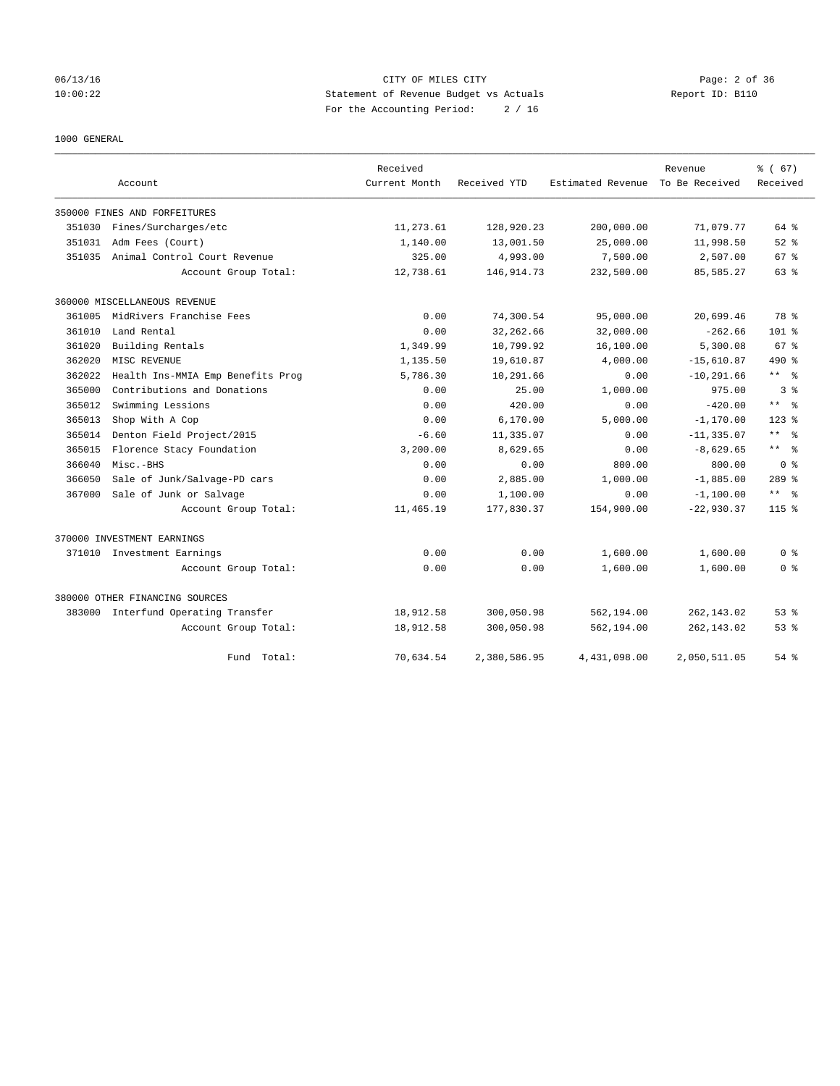## 06/13/16 CITY OF MILES CITY Page: 2 of 36 10:00:22 Statement of Revenue Budget vs Actuals Report ID: B110 For the Accounting Period: 2 / 16

1000 GENERAL

|        |                                     | Received      |              |                   | Revenue        | % (67)                  |
|--------|-------------------------------------|---------------|--------------|-------------------|----------------|-------------------------|
|        | Account                             | Current Month | Received YTD | Estimated Revenue | To Be Received | Received                |
|        | 350000 FINES AND FORFEITURES        |               |              |                   |                |                         |
| 351030 | Fines/Surcharges/etc                | 11,273.61     | 128,920.23   | 200,000.00        | 71,079.77      | 64 %                    |
| 351031 | Adm Fees (Court)                    | 1,140.00      | 13,001.50    | 25,000.00         | 11,998.50      | $52$ $%$                |
| 351035 | Animal Control Court Revenue        | 325.00        | 4,993.00     | 7,500.00          | 2,507.00       | 67 %                    |
|        | Account Group Total:                | 12,738.61     | 146, 914. 73 | 232,500.00        | 85,585.27      | 63 %                    |
|        | 360000 MISCELLANEOUS REVENUE        |               |              |                   |                |                         |
| 361005 | MidRivers Franchise Fees            | 0.00          | 74,300.54    | 95,000.00         | 20,699.46      | 78 %                    |
| 361010 | Land Rental                         | 0.00          | 32, 262.66   | 32,000.00         | $-262.66$      | $101$ %                 |
| 361020 | Building Rentals                    | 1,349.99      | 10,799.92    | 16,100.00         | 5,300.08       | 67 %                    |
| 362020 | MISC REVENUE                        | 1,135.50      | 19,610.87    | 4,000.00          | $-15.610.87$   | 490 %                   |
| 362022 | Health Ins-MMIA Emp Benefits Prog   | 5,786.30      | 10,291.66    | 0.00              | $-10, 291.66$  | ** %                    |
| 365000 | Contributions and Donations         | 0.00          | 25.00        | 1,000.00          | 975.00         | 3 <sup>8</sup>          |
| 365012 | Swimming Lessions                   | 0.00          | 420.00       | 0.00              | $-420.00$      | $\star$ $\star$<br>- 응  |
| 365013 | Shop With A Cop                     | 0.00          | 6, 170.00    | 5,000.00          | $-1, 170.00$   | $123$ $%$               |
| 365014 | Denton Field Project/2015           | $-6.60$       | 11,335.07    | 0.00              | $-11, 335.07$  | $***$<br>$\approx$      |
| 365015 | Florence Stacy Foundation           | 3,200.00      | 8,629.65     | 0.00              | $-8,629.65$    | ** %                    |
| 366040 | Misc.-BHS                           | 0.00          | 0.00         | 800.00            | 800.00         | 0 <sup>8</sup>          |
| 366050 | Sale of Junk/Salvage-PD cars        | 0.00          | 2,885.00     | 1,000.00          | $-1,885.00$    | $289$ $%$               |
| 367000 | Sale of Junk or Salvage             | 0.00          | 1,100.00     | 0.00              | $-1,100.00$    | $***$ $=$ $\frac{6}{5}$ |
|        | Account Group Total:                | 11,465.19     | 177,830.37   | 154,900.00        | $-22,930.37$   | $115$ $%$               |
|        | 370000 INVESTMENT EARNINGS          |               |              |                   |                |                         |
|        | 371010 Investment Earnings          | 0.00          | 0.00         | 1,600.00          | 1,600.00       | 0 <sup>8</sup>          |
|        | Account Group Total:                | 0.00          | 0.00         | 1,600.00          | 1,600.00       | 0 <sup>8</sup>          |
|        | 380000 OTHER FINANCING SOURCES      |               |              |                   |                |                         |
|        | 383000 Interfund Operating Transfer | 18,912.58     | 300,050.98   | 562,194.00        | 262, 143.02    | $53$ $%$                |
|        | Account Group Total:                | 18,912.58     | 300,050.98   | 562,194.00        | 262, 143.02    | 53%                     |
|        | Fund Total:                         | 70,634.54     | 2,380,586.95 | 4,431,098.00      | 2,050,511.05   | $54$ $%$                |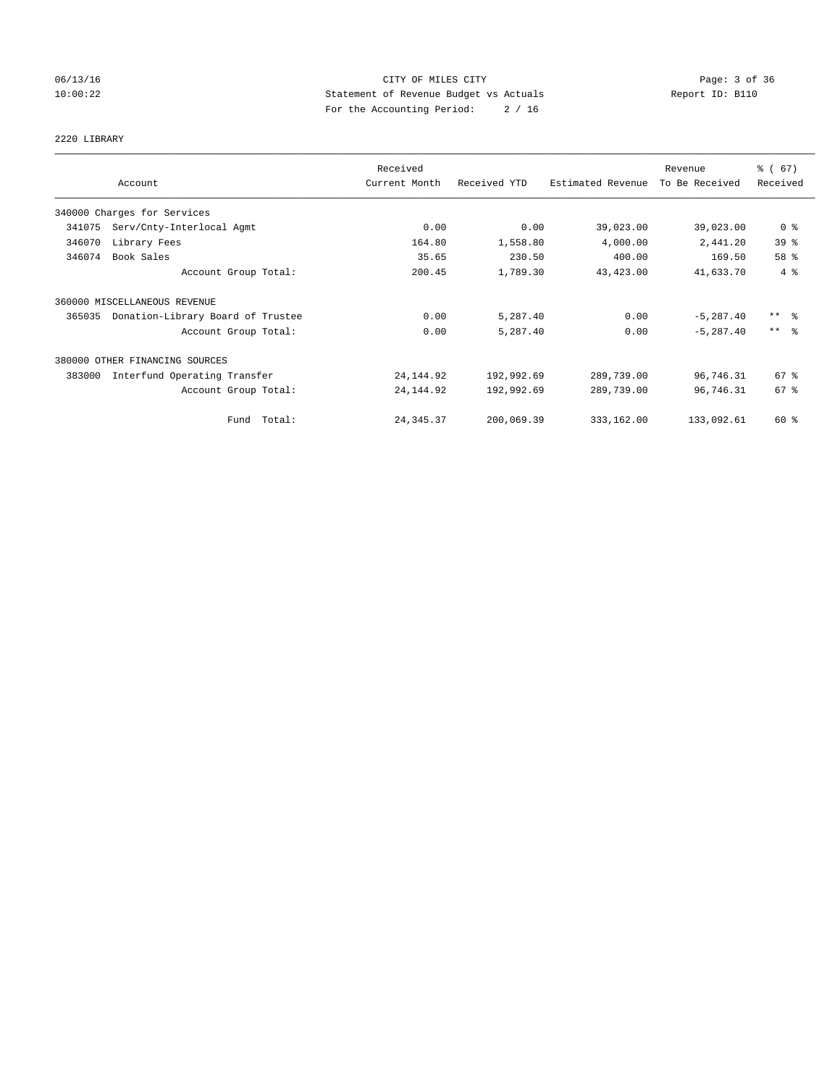## 06/13/16 CITY OF MILES CITY Page: 3 of 36 10:00:22 Statement of Revenue Budget vs Actuals Report ID: B110 For the Accounting Period: 2 / 16

# 2220 LIBRARY

|        |                                   | Received      |              |                   | Revenue        | % (67)              |
|--------|-----------------------------------|---------------|--------------|-------------------|----------------|---------------------|
|        | Account                           | Current Month | Received YTD | Estimated Revenue | To Be Received | Received            |
|        | 340000 Charges for Services       |               |              |                   |                |                     |
| 341075 | Serv/Cnty-Interlocal Agmt         | 0.00          | 0.00         | 39,023.00         | 39,023.00      | 0 <sup>8</sup>      |
| 346070 | Library Fees                      | 164.80        | 1,558.80     | 4,000.00          | 2,441.20       | 39%                 |
| 346074 | Book Sales                        | 35.65         | 230.50       | 400.00            | 169.50         | 58 %                |
|        | Account Group Total:              | 200.45        | 1,789.30     | 43, 423.00        | 41,633.70      | 4%                  |
|        | 360000 MISCELLANEOUS REVENUE      |               |              |                   |                |                     |
| 365035 | Donation-Library Board of Trustee | 0.00          | 5,287.40     | 0.00              | $-5, 287.40$   | $***$ $\frac{6}{5}$ |
|        | Account Group Total:              | 0.00          | 5,287.40     | 0.00              | $-5, 287.40$   | $***$ $\approx$     |
|        | 380000 OTHER FINANCING SOURCES    |               |              |                   |                |                     |
| 383000 | Interfund Operating Transfer      | 24, 144.92    | 192,992.69   | 289,739.00        | 96,746.31      | $67*$               |
|        | Account Group Total:              | 24, 144.92    | 192,992.69   | 289,739.00        | 96,746.31      | 67 %                |
|        | Fund Total:                       | 24, 345.37    | 200,069.39   | 333,162.00        | 133,092.61     | 60 %                |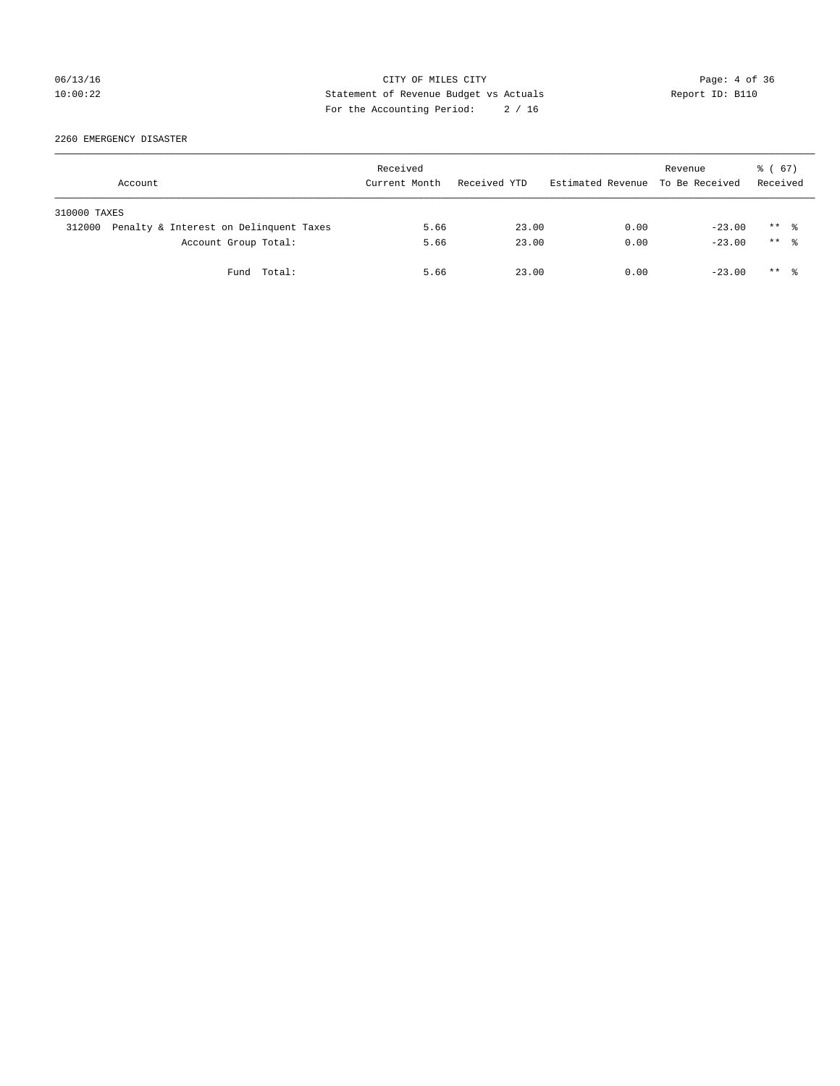## 06/13/16 CITY OF MILES CITY Page: 4 of 36 10:00:22 Statement of Revenue Budget vs Actuals Report ID: B110 For the Accounting Period: 2 / 16

2260 EMERGENCY DISASTER

|              | Account                                |             | Received<br>Current Month | Received YTD | Estimated Revenue To Be Received | Revenue  | 8 ( 67 )<br>Received |  |
|--------------|----------------------------------------|-------------|---------------------------|--------------|----------------------------------|----------|----------------------|--|
| 310000 TAXES |                                        |             |                           |              |                                  |          |                      |  |
| 312000       | Penalty & Interest on Delinquent Taxes |             | 5.66                      | 23.00        | 0.00                             | $-23.00$ | $***$ 2              |  |
|              | Account Group Total:                   |             | 5.66                      | 23.00        | 0.00                             | $-23.00$ | $***$ $\frac{6}{10}$ |  |
|              |                                        | Fund Total: | 5.66                      | 23.00        | 0.00                             | $-23.00$ | ** *                 |  |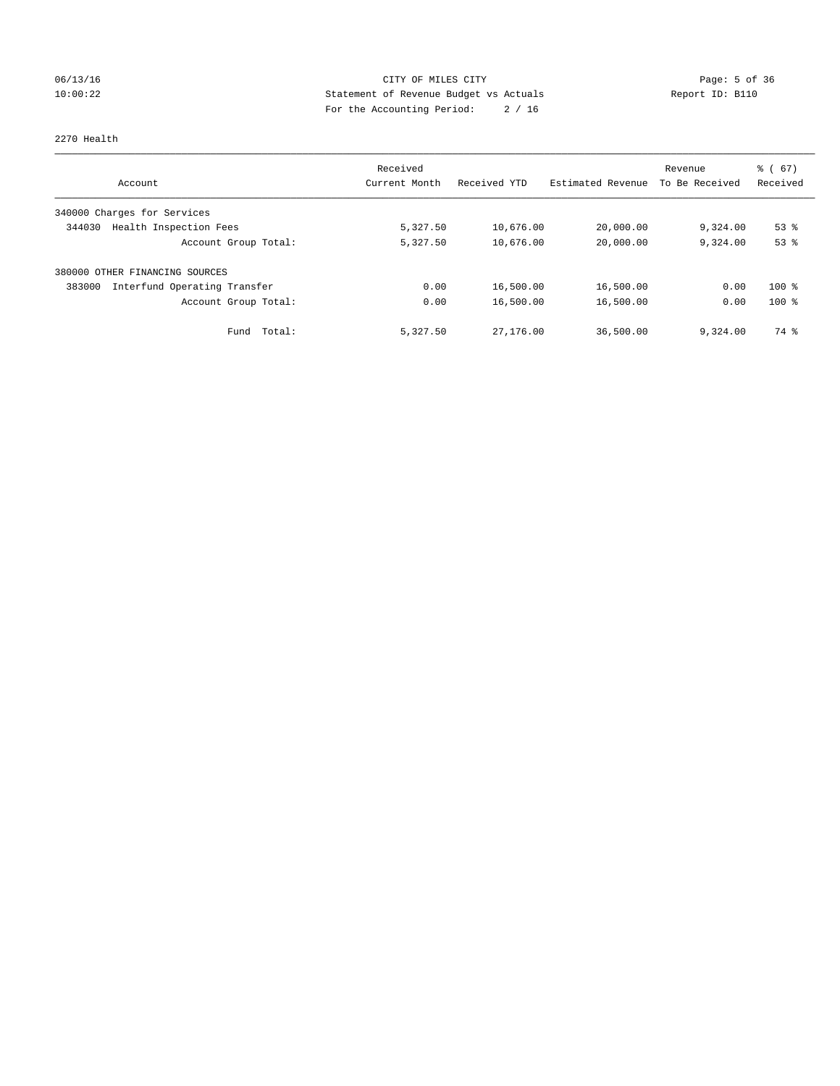## 06/13/16 CITY OF MILES CITY Page: 5 of 36 10:00:22 Statement of Revenue Budget vs Actuals Report ID: B110 For the Accounting Period: 2 / 16

#### 2270 Health

|                                        | Received      | Received YTD | Estimated Revenue | Revenue        | $\frac{6}{6}$ (67) |
|----------------------------------------|---------------|--------------|-------------------|----------------|--------------------|
| Account                                | Current Month |              |                   | To Be Received | Received           |
| 340000 Charges for Services            |               |              |                   |                |                    |
| Health Inspection Fees<br>344030       | 5,327.50      | 10,676.00    | 20,000.00         | 9,324.00       | $53$ $%$           |
| Account Group Total:                   | 5,327.50      | 10,676.00    | 20,000.00         | 9,324.00       | 53%                |
| 380000 OTHER FINANCING SOURCES         |               |              |                   |                |                    |
| Interfund Operating Transfer<br>383000 | 0.00          | 16,500.00    | 16,500.00         | 0.00           | $100*$             |
| Account Group Total:                   | 0.00          | 16,500.00    | 16,500.00         | 0.00           | $100*$             |
| Total:<br>Fund                         | 5,327.50      | 27,176.00    | 36,500.00         | 9,324.00       | 74 %               |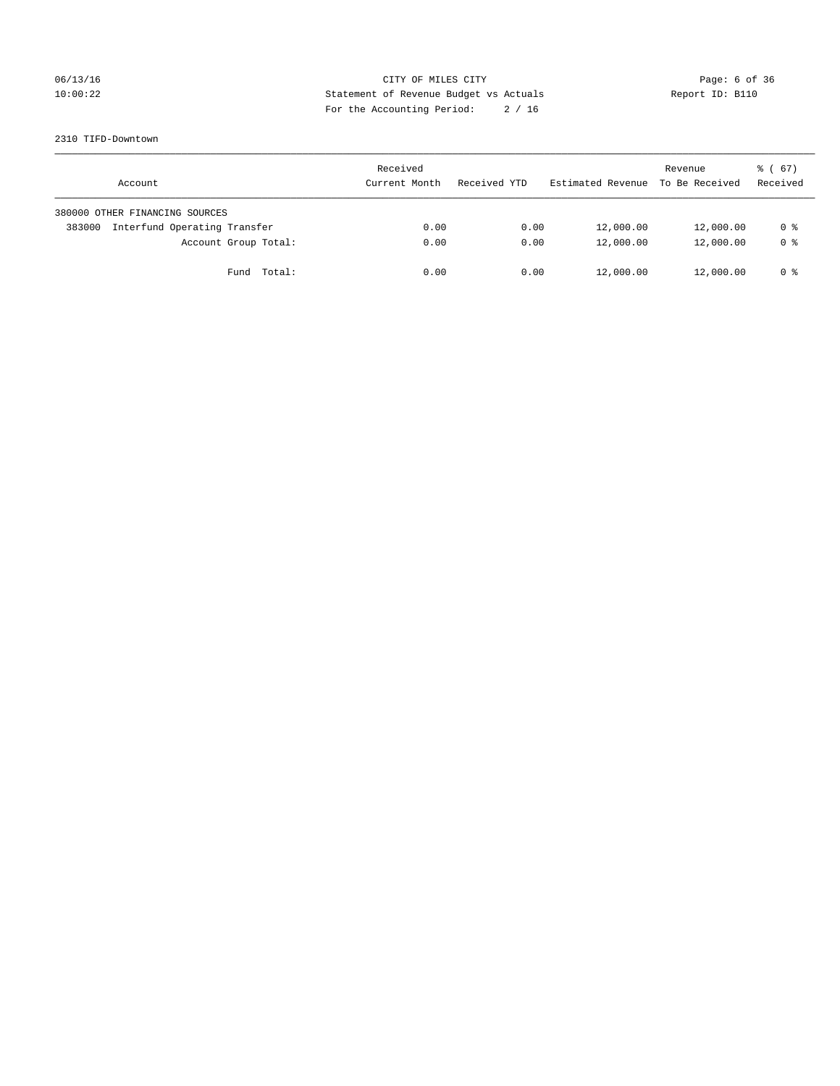## 06/13/16 CITY OF MILES CITY Page: 6 of 36 10:00:22 Statement of Revenue Budget vs Actuals Report ID: B110 For the Accounting Period: 2 / 16

#### 2310 TIFD-Downtown

| Account                                | Received<br>Current Month | Received YTD | Estimated Revenue | Revenue<br>To Be Received | $\frac{1}{6}$ (67)<br>Received |
|----------------------------------------|---------------------------|--------------|-------------------|---------------------------|--------------------------------|
| 380000 OTHER FINANCING SOURCES         |                           |              |                   |                           |                                |
| Interfund Operating Transfer<br>383000 | 0.00                      | 0.00         | 12,000.00         | 12,000.00                 | 0 %                            |
| Account Group Total:                   | 0.00                      | 0.00         | 12,000.00         | 12,000.00                 | 0 <sup>8</sup>                 |
| Total:<br>Fund                         | 0.00                      | 0.00         | 12,000.00         | 12,000.00                 | 0 %                            |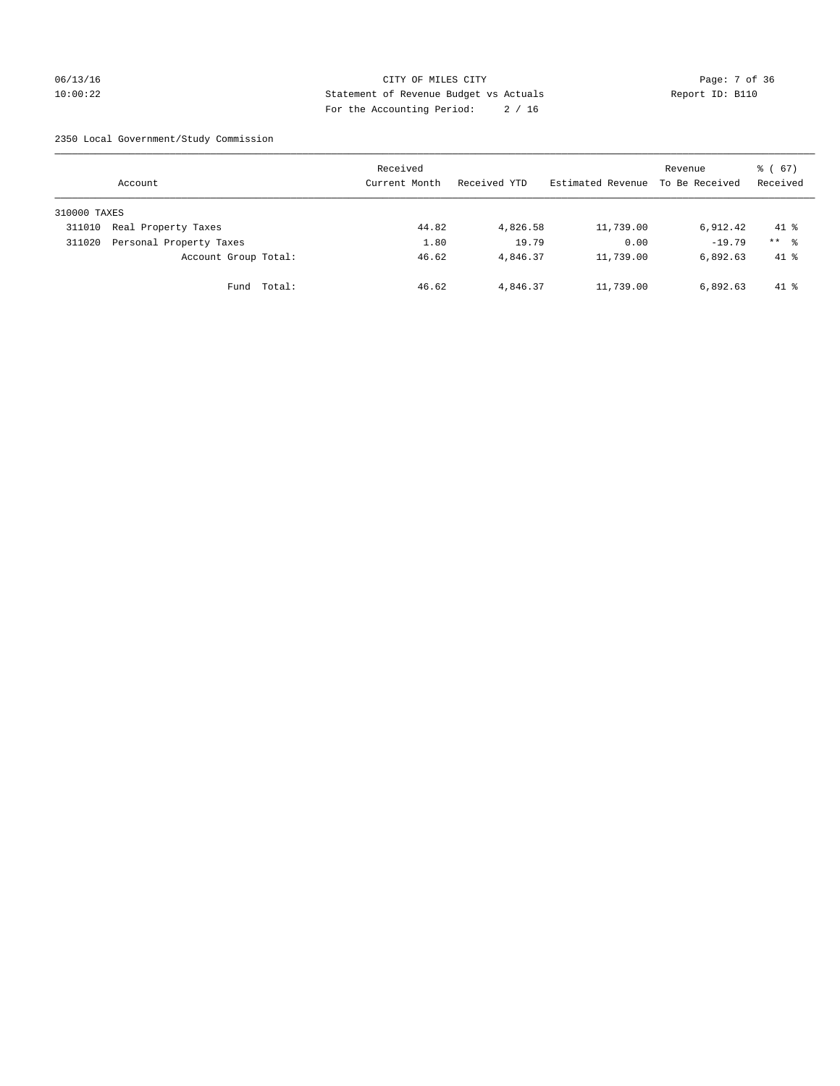## 06/13/16 CITY OF MILES CITY Page: 7 of 36 10:00:22 Statement of Revenue Budget vs Actuals Report ID: B110 For the Accounting Period: 2 / 16

2350 Local Government/Study Commission

|              | Account                 |             | Received<br>Current Month |       | Received YTD | Estimated Revenue | Revenue<br>To Be Received | $\frac{3}{6}$ (67)<br>Received |
|--------------|-------------------------|-------------|---------------------------|-------|--------------|-------------------|---------------------------|--------------------------------|
| 310000 TAXES |                         |             |                           |       |              |                   |                           |                                |
| 311010       | Real Property Taxes     |             |                           | 44.82 | 4,826.58     | 11,739.00         | 6,912.42                  | $41*$                          |
| 311020       | Personal Property Taxes |             |                           | 1.80  | 19.79        | 0.00              | $-19.79$                  | $***$ $\frac{6}{5}$            |
|              | Account Group Total:    |             |                           | 46.62 | 4,846.37     | 11,739.00         | 6,892.63                  | $41*$                          |
|              |                         | Fund Total: |                           | 46.62 | 4,846.37     | 11,739.00         | 6,892.63                  | $41*$                          |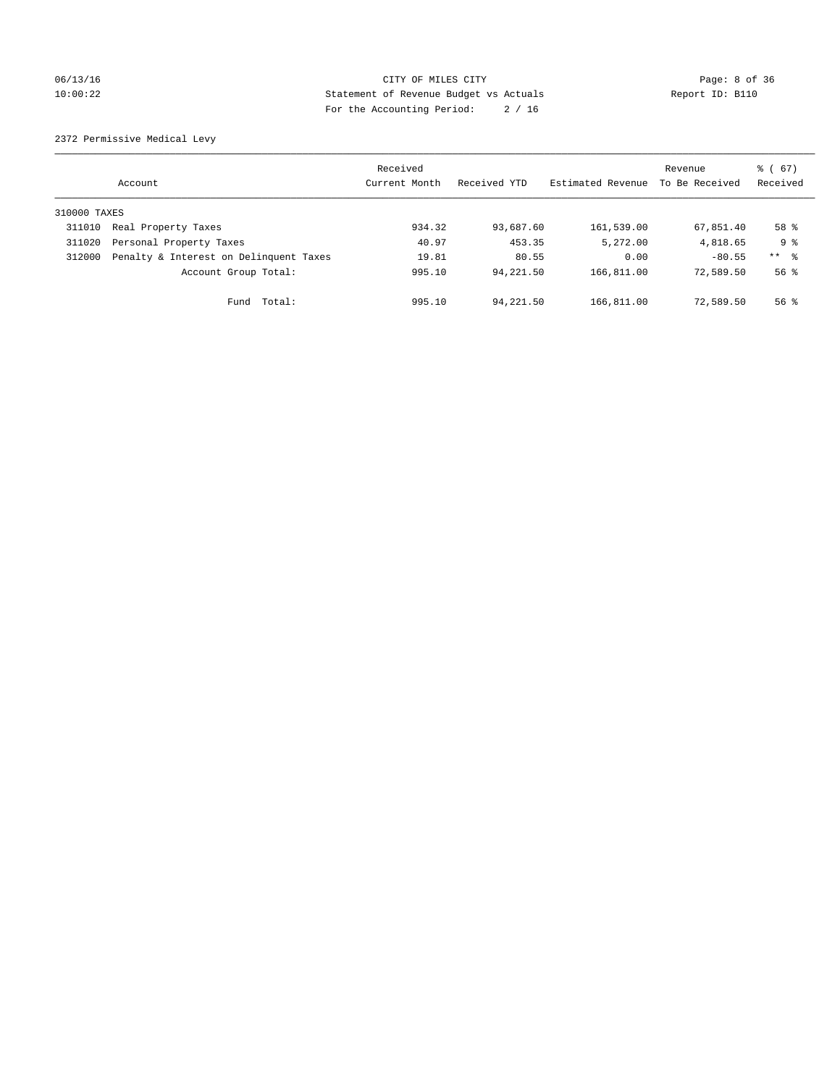## 06/13/16 CITY OF MILES CITY Page: 8 of 36 10:00:22 Statement of Revenue Budget vs Actuals Report ID: B110 For the Accounting Period: 2 / 16

2372 Permissive Medical Levy

|              | Account                                | Received<br>Current Month | Received YTD | Estimated Revenue | Revenue<br>To Be Received | $\frac{6}{6}$ (67)<br>Received |
|--------------|----------------------------------------|---------------------------|--------------|-------------------|---------------------------|--------------------------------|
| 310000 TAXES |                                        |                           |              |                   |                           |                                |
| 311010       | Real Property Taxes                    | 934.32                    | 93,687.60    | 161,539.00        | 67,851.40                 | 58 %                           |
| 311020       | Personal Property Taxes                | 40.97                     | 453.35       | 5,272.00          | 4,818.65                  | 9 %                            |
| 312000       | Penalty & Interest on Delinquent Taxes | 19.81                     | 80.55        | 0.00              | $-80.55$                  | $***$ $\frac{6}{5}$            |
|              | Account Group Total:                   | 995.10                    | 94,221.50    | 166,811.00        | 72,589.50                 | $56$ $\frac{6}{3}$             |
|              | Fund Total:                            | 995.10                    | 94,221.50    | 166,811.00        | 72,589.50                 | $56$ $\frac{6}{3}$             |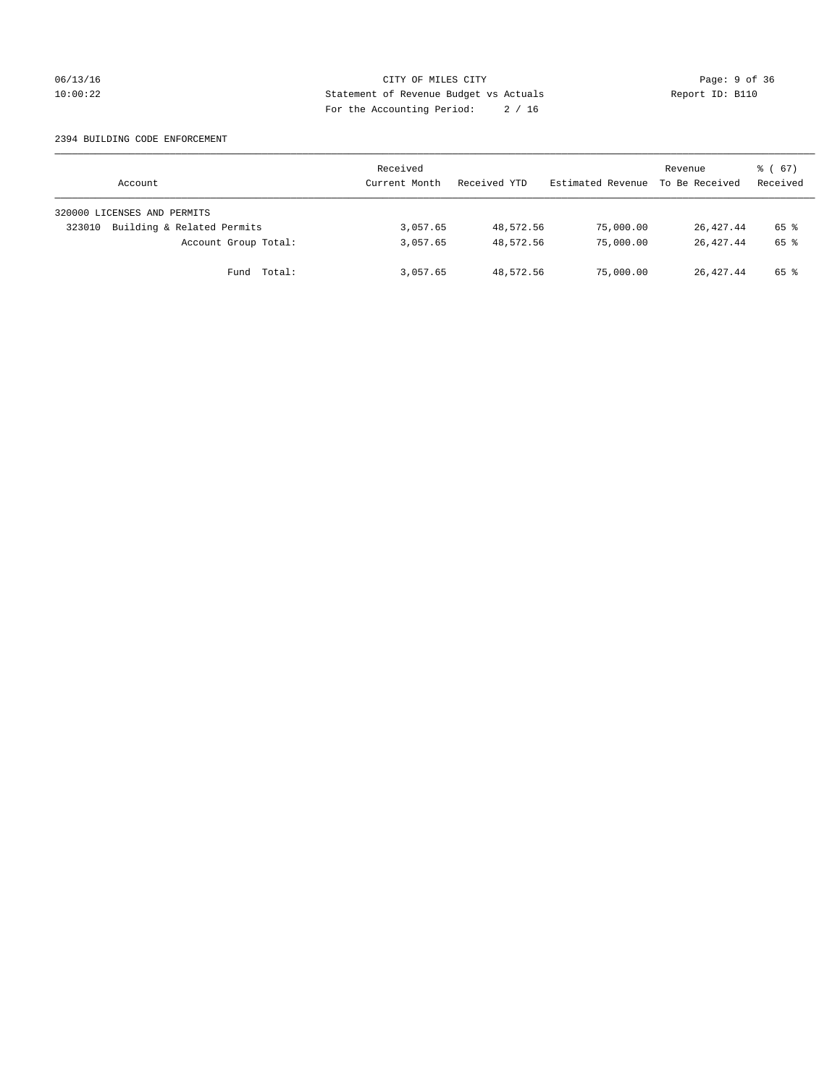## 06/13/16 CITY OF MILES CITY Page: 9 of 36 10:00:22 Statement of Revenue Budget vs Actuals Report ID: B110 For the Accounting Period: 2 / 16

#### 2394 BUILDING CODE ENFORCEMENT

| Account                              | Received<br>Current Month | Received YTD | Estimated Revenue | Revenue<br>To Be Received | 8 ( 67 )<br>Received |
|--------------------------------------|---------------------------|--------------|-------------------|---------------------------|----------------------|
| 320000 LICENSES AND PERMITS          |                           |              |                   |                           |                      |
| Building & Related Permits<br>323010 | 3,057.65                  | 48,572.56    | 75,000.00         | 26,427.44                 | 65 %                 |
| Account Group Total:                 | 3,057.65                  | 48,572.56    | 75,000.00         | 26, 427. 44               | 65 %                 |
| Fund Total:                          | 3,057.65                  | 48,572.56    | 75,000.00         | 26, 427, 44               | 65 %                 |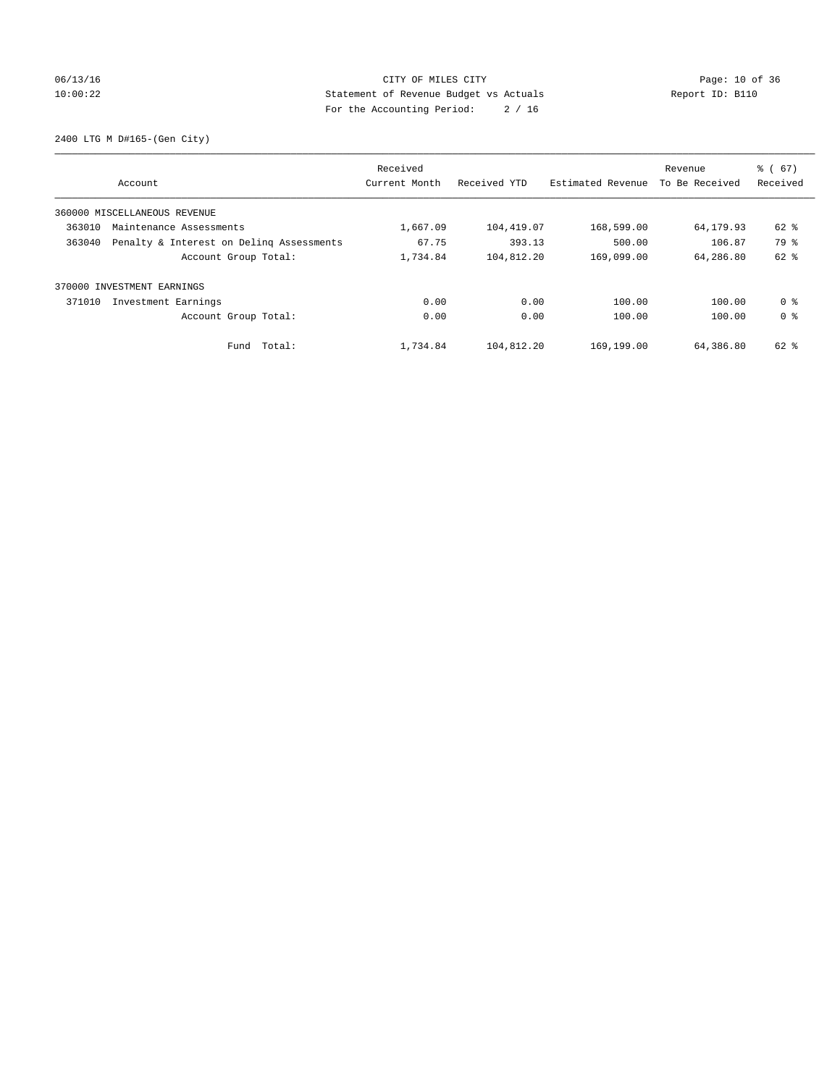## 06/13/16 Page: 10 of 36 10:00:22 Statement of Revenue Budget vs Actuals Report ID: B110 For the Accounting Period: 2 / 16

2400 LTG M D#165-(Gen City)

|                                                    | Received      |              |                   | Revenue        | $\frac{6}{6}$ (67) |
|----------------------------------------------------|---------------|--------------|-------------------|----------------|--------------------|
| Account                                            | Current Month | Received YTD | Estimated Revenue | To Be Received | Received           |
| 360000 MISCELLANEOUS REVENUE                       |               |              |                   |                |                    |
| 363010<br>Maintenance Assessments                  | 1,667.09      | 104,419.07   | 168,599.00        | 64,179.93      | 62 %               |
| 363040<br>Penalty & Interest on Deling Assessments | 67.75         | 393.13       | 500.00            | 106.87         | 79 %               |
| Account Group Total:                               | 1,734.84      | 104,812.20   | 169,099.00        | 64,286.80      | $62$ $%$           |
| 370000 INVESTMENT EARNINGS                         |               |              |                   |                |                    |
| 371010<br>Investment Earnings                      | 0.00          | 0.00         | 100.00            | 100.00         | 0 %                |
| Account Group Total:                               | 0.00          | 0.00         | 100.00            | 100.00         | 0 <sup>8</sup>     |
| Total:<br>Fund                                     | 1,734.84      | 104,812.20   | 169,199.00        | 64,386.80      | 62 %               |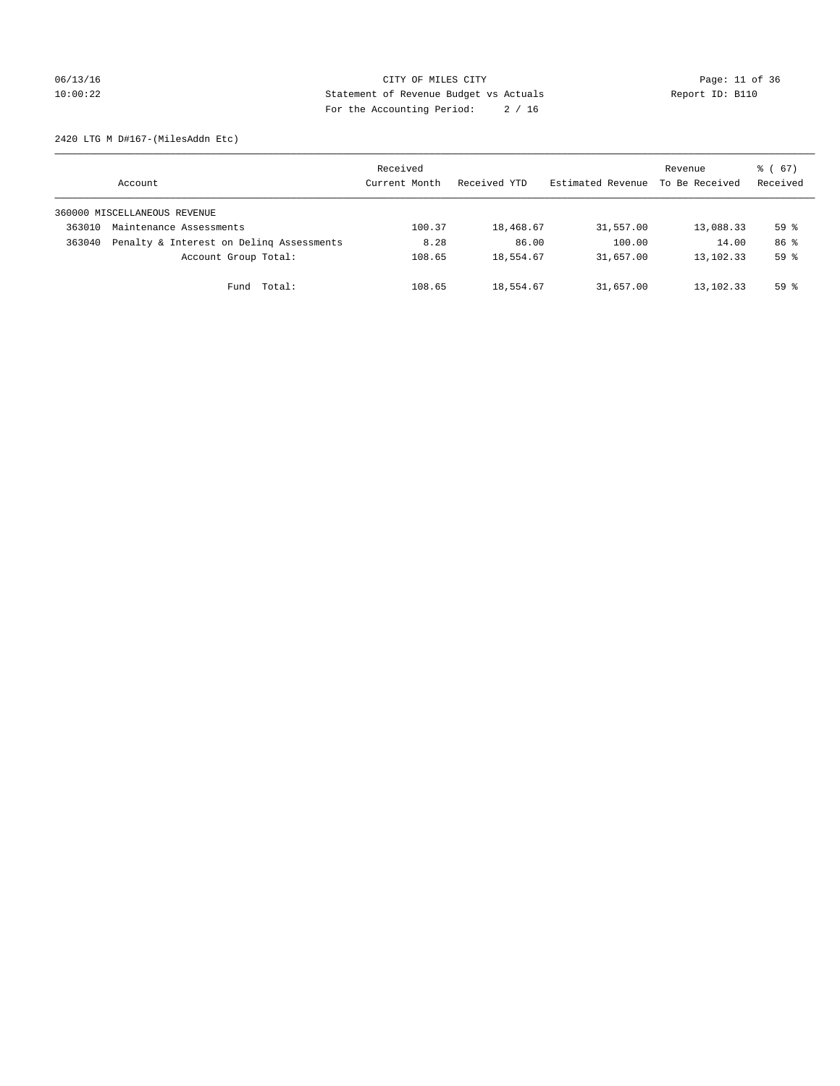## 06/13/16 Page: 11 of 36 10:00:22 Statement of Revenue Budget vs Actuals Report ID: B110 For the Accounting Period: 2 / 16

2420 LTG M D#167-(MilesAddn Etc)

|        | Account                                  | Received<br>Current Month | Received YTD | Estimated Revenue | Revenue<br>To Be Received | $\frac{3}{6}$ (67)<br>Received |
|--------|------------------------------------------|---------------------------|--------------|-------------------|---------------------------|--------------------------------|
|        | 360000 MISCELLANEOUS REVENUE             |                           |              |                   |                           |                                |
| 363010 | Maintenance Assessments                  | 100.37                    | 18,468.67    | 31,557.00         | 13,088.33                 | 59 <sup>°</sup>                |
| 363040 | Penalty & Interest on Deling Assessments | 8.28                      | 86.00        | 100.00            | 14.00                     | 86 %                           |
|        | Account Group Total:                     | 108.65                    | 18,554.67    | 31,657.00         | 13,102.33                 | 59 <sup>°</sup>                |
|        | Fund Total:                              | 108.65                    | 18,554.67    | 31,657.00         | 13,102.33                 | 59 <sup>8</sup>                |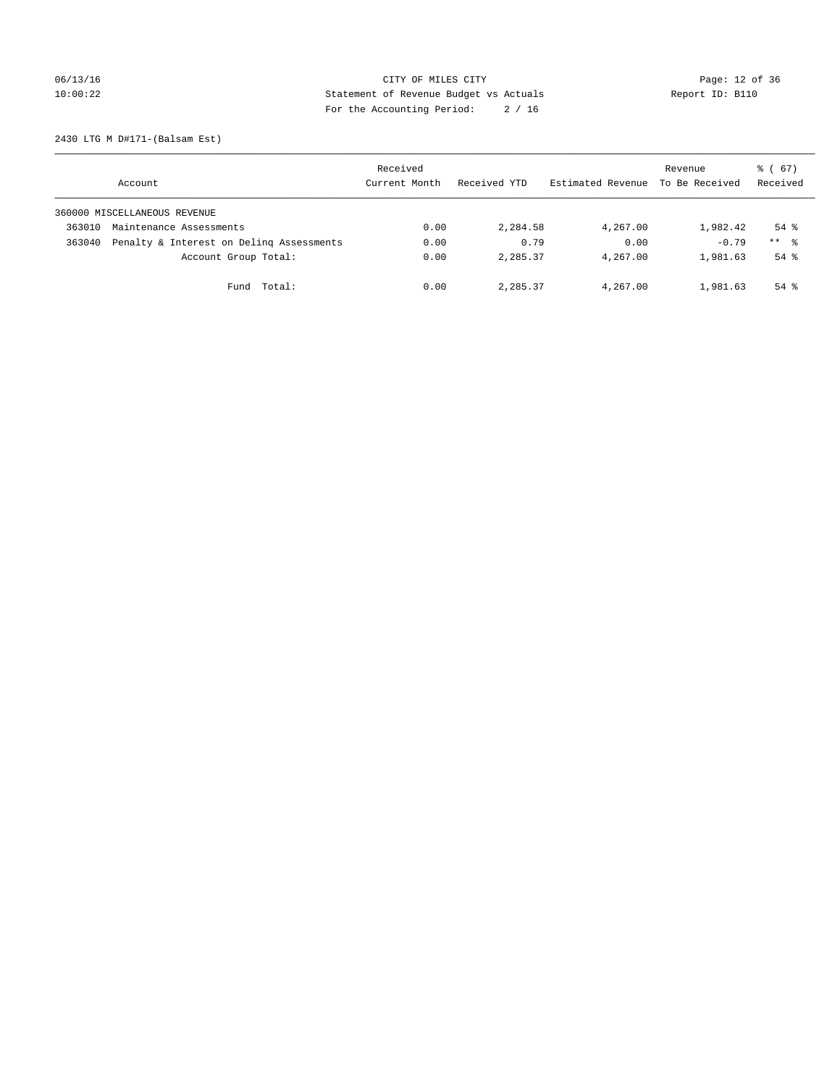06/13/16 Page: 12 of 36 10:00:22 Statement of Revenue Budget vs Actuals Report ID: B110 For the Accounting Period: 2 / 16

2430 LTG M D#171-(Balsam Est)

|        | Account                                  | Received<br>Current Month | Received YTD | Estimated Revenue | Revenue<br>To Be Received | $\frac{3}{6}$ (67)<br>Received |
|--------|------------------------------------------|---------------------------|--------------|-------------------|---------------------------|--------------------------------|
|        | 360000 MISCELLANEOUS REVENUE             |                           |              |                   |                           |                                |
| 363010 | Maintenance Assessments                  | 0.00                      | 2,284.58     | 4,267.00          | 1,982.42                  | $54$ $\frac{6}{3}$             |
| 363040 | Penalty & Interest on Deling Assessments | 0.00                      | 0.79         | 0.00              | $-0.79$                   | $***$ $\frac{6}{5}$            |
|        | Account Group Total:                     | 0.00                      | 2,285.37     | 4,267.00          | 1,981.63                  | $54$ $\frac{6}{3}$             |
|        | Fund Total:                              | 0.00                      | 2,285.37     | 4,267.00          | 1,981.63                  | $54$ $\frac{6}{3}$             |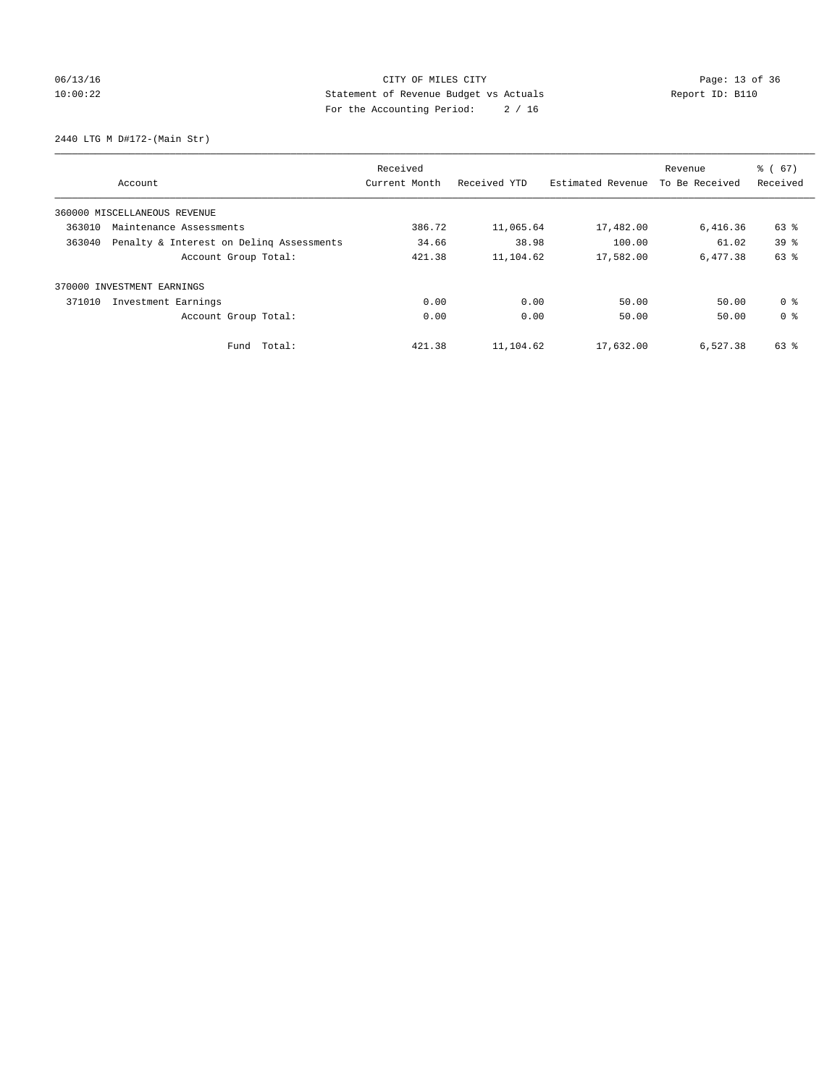## 06/13/16 Page: 13 of 36 10:00:22 Statement of Revenue Budget vs Actuals Report ID: B110 For the Accounting Period: 2 / 16

2440 LTG M D#172-(Main Str)

|        |                                          | Received      |              |                   | Revenue        | $\frac{6}{6}$ (67) |
|--------|------------------------------------------|---------------|--------------|-------------------|----------------|--------------------|
|        | Account                                  | Current Month | Received YTD | Estimated Revenue | To Be Received | Received           |
|        | 360000 MISCELLANEOUS REVENUE             |               |              |                   |                |                    |
| 363010 | Maintenance Assessments                  | 386.72        | 11,065.64    | 17,482.00         | 6,416.36       | 63 %               |
| 363040 | Penalty & Interest on Deling Assessments | 34.66         | 38.98        | 100.00            | 61.02          | 39 <sup>8</sup>    |
|        | Account Group Total:                     | 421.38        | 11,104.62    | 17,582.00         | 6,477.38       | 63 %               |
|        | 370000 INVESTMENT EARNINGS               |               |              |                   |                |                    |
| 371010 | Investment Earnings                      | 0.00          | 0.00         | 50.00             | 50.00          | 0 <sup>8</sup>     |
|        | Account Group Total:                     | 0.00          | 0.00         | 50.00             | 50.00          | 0 <sup>8</sup>     |
|        | Fund Total:                              | 421.38        | 11,104.62    | 17,632.00         | 6,527.38       | 63 %               |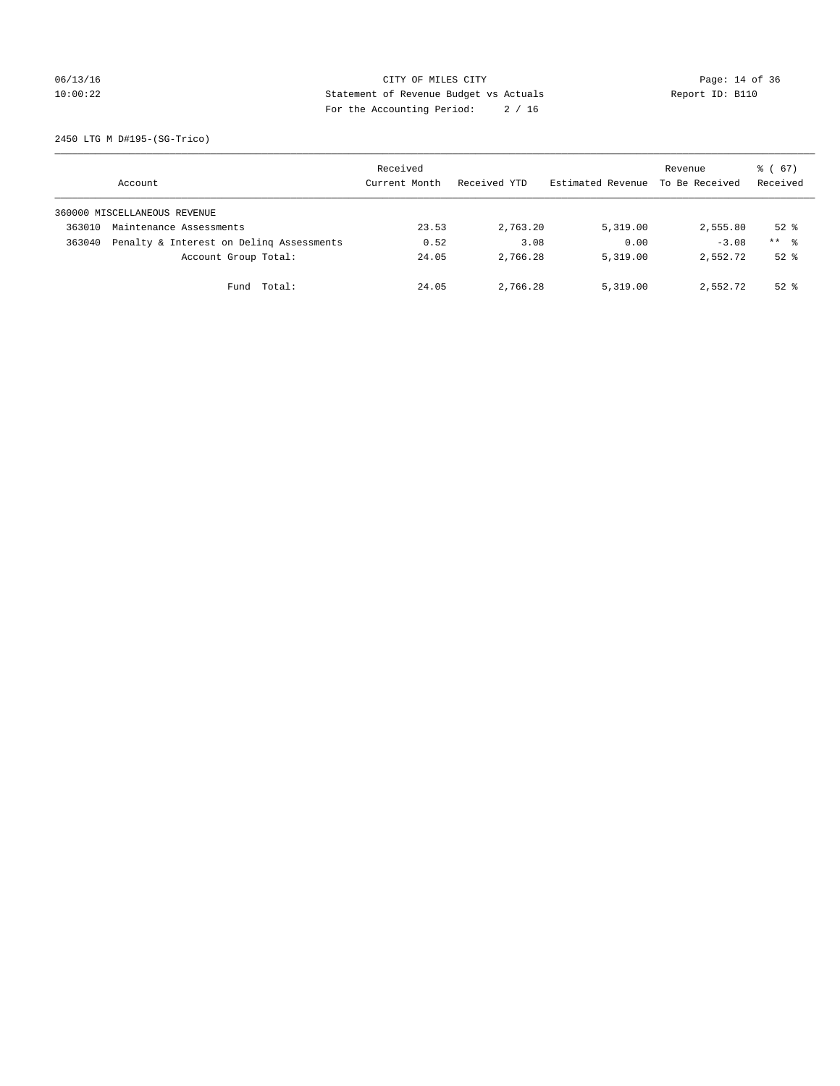## 06/13/16 Page: 14 of 36 10:00:22 Statement of Revenue Budget vs Actuals Report ID: B110 For the Accounting Period: 2 / 16

2450 LTG M D#195-(SG-Trico)

|        | Account                                  | Received<br>Current Month | Received YTD | Estimated Revenue | Revenue<br>To Be Received | $\frac{3}{6}$ (67)<br>Received |
|--------|------------------------------------------|---------------------------|--------------|-------------------|---------------------------|--------------------------------|
|        | 360000 MISCELLANEOUS REVENUE             |                           |              |                   |                           |                                |
| 363010 | Maintenance Assessments                  | 23.53                     | 2,763.20     | 5,319.00          | 2,555.80                  | $52*$                          |
| 363040 | Penalty & Interest on Deling Assessments | 0.52                      | 3.08         | 0.00              | $-3.08$                   | $***$ $\frac{6}{5}$            |
|        | Account Group Total:                     | 24.05                     | 2,766.28     | 5,319.00          | 2,552.72                  | $52*$                          |
|        | Fund Total:                              | 24.05                     | 2,766.28     | 5,319.00          | 2,552.72                  | $52*$                          |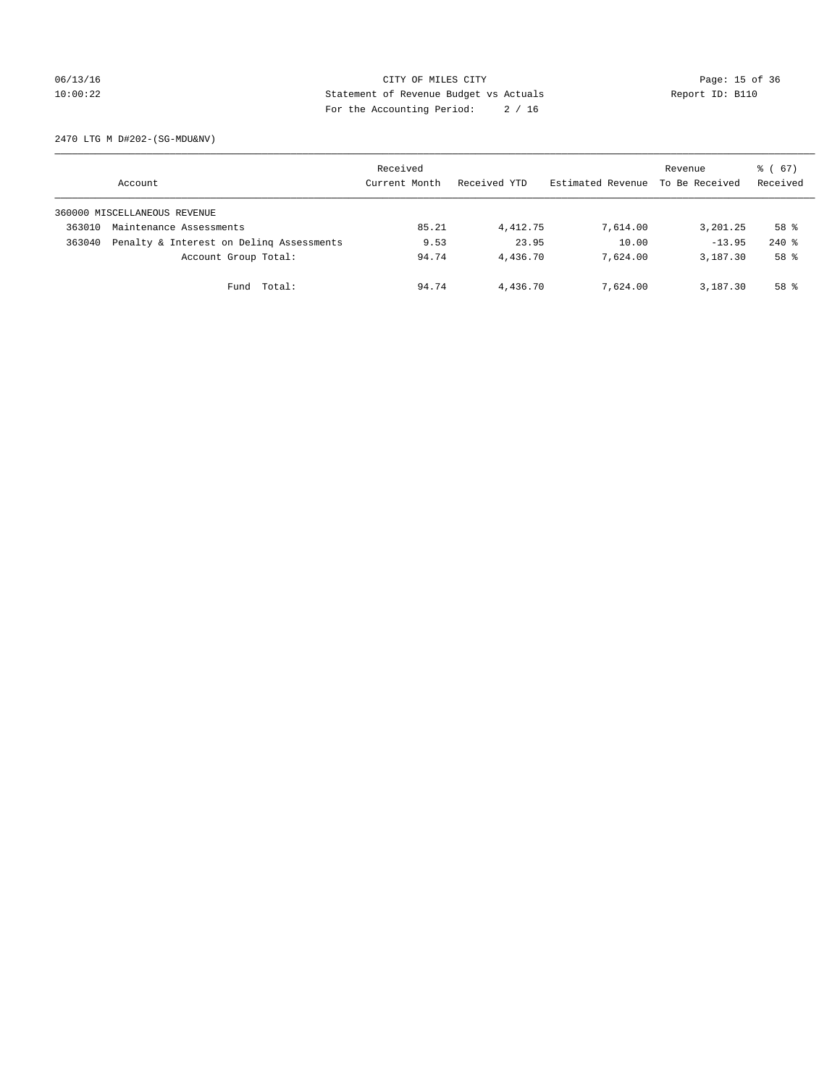## 06/13/16 Page: 15 of 36 10:00:22 Statement of Revenue Budget vs Actuals Report ID: B110 For the Accounting Period: 2 / 16

2470 LTG M D#202-(SG-MDU&NV)

|        | Account                                  | Received<br>Current Month | Received YTD | Estimated Revenue | Revenue<br>To Be Received | 8 ( 67 )<br>Received |
|--------|------------------------------------------|---------------------------|--------------|-------------------|---------------------------|----------------------|
|        | 360000 MISCELLANEOUS REVENUE             |                           |              |                   |                           |                      |
| 363010 | Maintenance Assessments                  | 85.21                     | 4,412.75     | 7,614.00          | 3,201.25                  | 58 %                 |
| 363040 | Penalty & Interest on Deling Assessments | 9.53                      | 23.95        | 10.00             | $-13.95$                  | $240$ %              |
|        | Account Group Total:                     | 94.74                     | 4,436.70     | 7,624,00          | 3,187.30                  | 58 %                 |
|        | Fund Total:                              | 94.74                     | 4,436.70     | 7,624.00          | 3,187.30                  | 58 <sup>8</sup>      |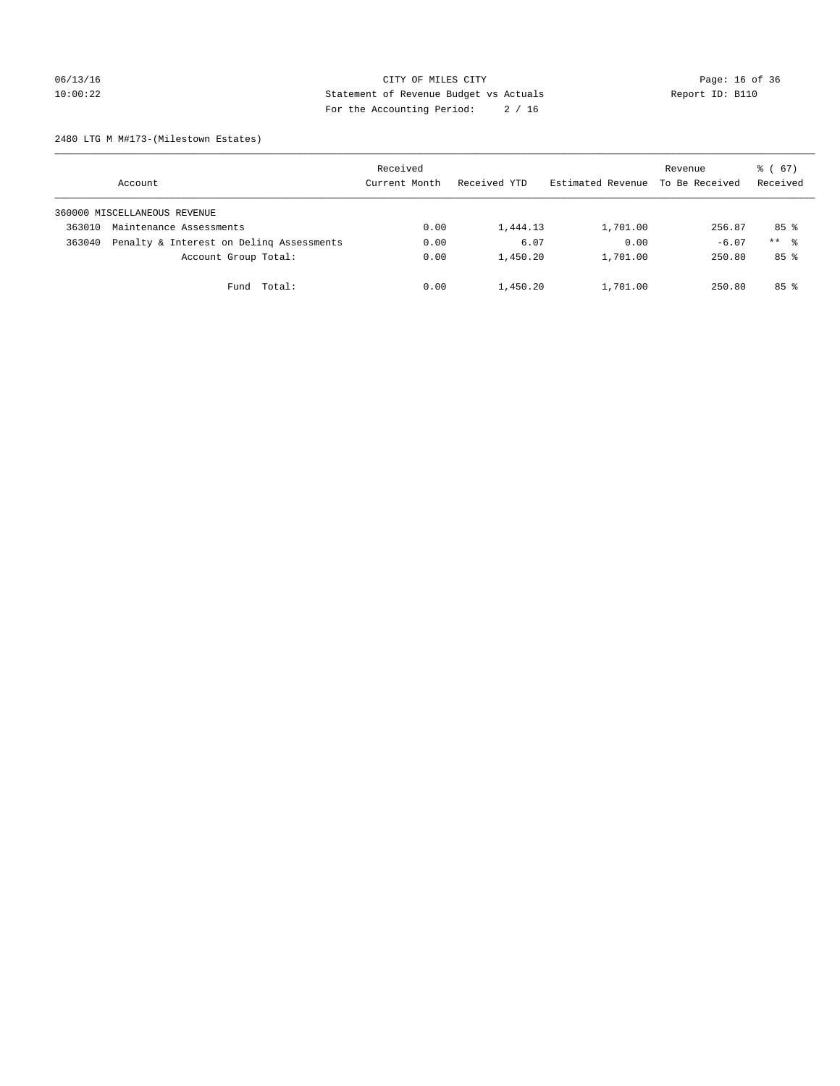## 06/13/16 Page: 16 of 36 10:00:22 Statement of Revenue Budget vs Actuals Report ID: B110 For the Accounting Period: 2 / 16

2480 LTG M M#173-(Milestown Estates)

|        | Account                                  | Received<br>Current Month | Received YTD | Estimated Revenue | Revenue<br>To Be Received | $\frac{3}{6}$ (67)<br>Received |
|--------|------------------------------------------|---------------------------|--------------|-------------------|---------------------------|--------------------------------|
|        | 360000 MISCELLANEOUS REVENUE             |                           |              |                   |                           |                                |
| 363010 | Maintenance Assessments                  | 0.00                      | 1,444.13     | 1,701.00          | 256.87                    | 85%                            |
| 363040 | Penalty & Interest on Deling Assessments | 0.00                      | 6.07         | 0.00              | $-6.07$                   | $***$ %                        |
|        | Account Group Total:                     | 0.00                      | 1,450.20     | 1,701.00          | 250.80                    | 85%                            |
|        | Fund Total:                              | 0.00                      | 1,450.20     | 1,701.00          | 250.80                    | 85%                            |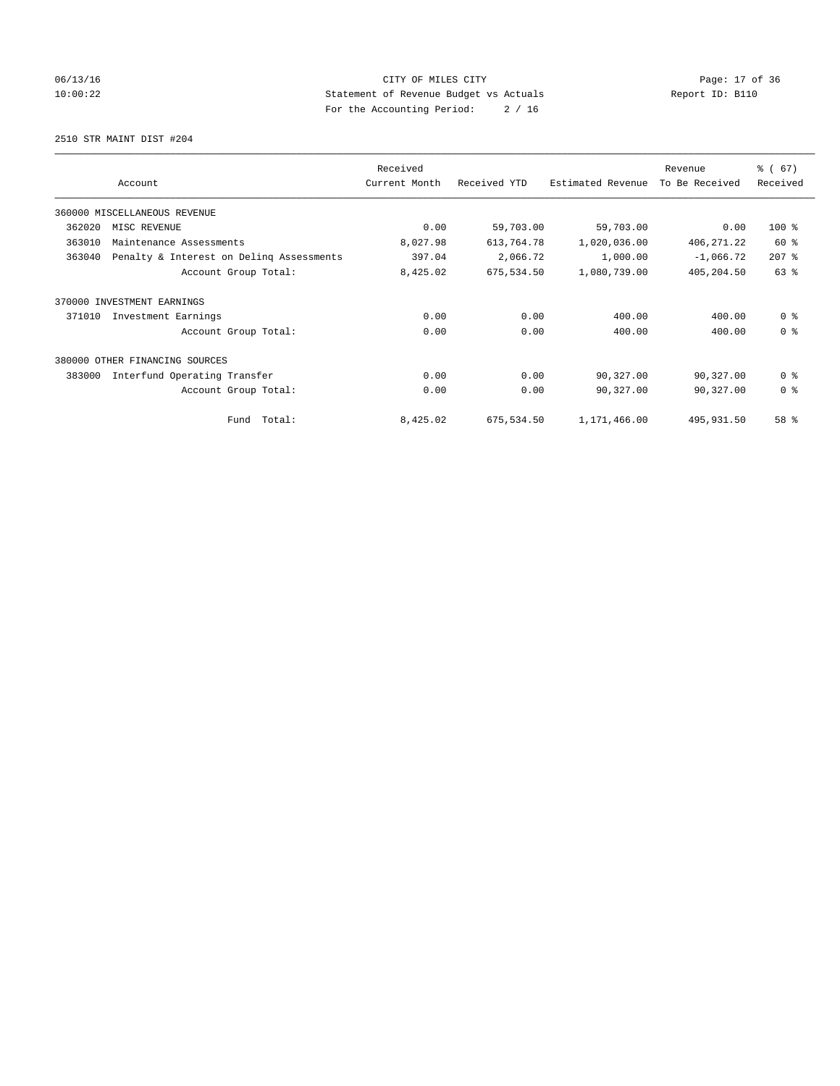## 06/13/16 Page: 17 of 36 10:00:22 Statement of Revenue Budget vs Actuals Report ID: B110 For the Accounting Period: 2 / 16

2510 STR MAINT DIST #204

|        |                                          | Received      |              |                   | Revenue        | % (67)         |
|--------|------------------------------------------|---------------|--------------|-------------------|----------------|----------------|
|        | Account                                  | Current Month | Received YTD | Estimated Revenue | To Be Received | Received       |
|        | 360000 MISCELLANEOUS REVENUE             |               |              |                   |                |                |
| 362020 | MISC REVENUE                             | 0.00          | 59,703.00    | 59,703.00         | 0.00           | 100 %          |
| 363010 | Maintenance Assessments                  | 8,027.98      | 613,764.78   | 1,020,036.00      | 406, 271.22    | 60 %           |
| 363040 | Penalty & Interest on Deling Assessments | 397.04        | 2,066.72     | 1,000.00          | $-1,066.72$    | $207$ %        |
|        | Account Group Total:                     | 8,425.02      | 675,534.50   | 1,080,739.00      | 405,204.50     | 63 %           |
| 370000 | INVESTMENT EARNINGS                      |               |              |                   |                |                |
| 371010 | Investment Earnings                      | 0.00          | 0.00         | 400.00            | 400.00         | 0 <sup>8</sup> |
|        | Account Group Total:                     | 0.00          | 0.00         | 400.00            | 400.00         | 0 <sup>8</sup> |
|        | 380000 OTHER FINANCING SOURCES           |               |              |                   |                |                |
| 383000 | Interfund Operating Transfer             | 0.00          | 0.00         | 90,327.00         | 90,327.00      | 0 <sup>8</sup> |
|        | Account Group Total:                     | 0.00          | 0.00         | 90,327.00         | 90,327.00      | 0 <sup>8</sup> |
|        | Fund Total:                              | 8,425.02      | 675,534.50   | 1,171,466.00      | 495,931.50     | 58 %           |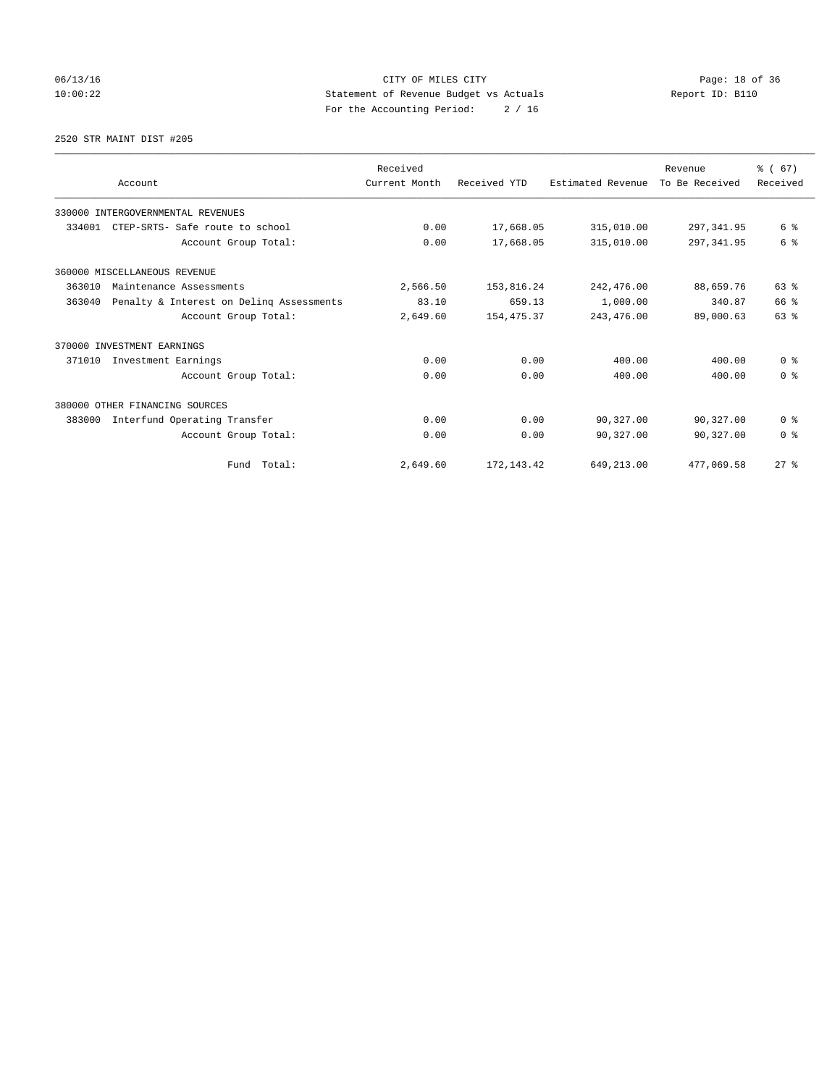06/13/16 Page: 18 of 36 10:00:22 Statement of Revenue Budget vs Actuals Report ID: B110 For the Accounting Period: 2 / 16

#### 2520 STR MAINT DIST #205

|        | Account                                  | Received<br>Current Month | Received YTD | Estimated Revenue | Revenue<br>To Be Received | % (67)<br>Received |
|--------|------------------------------------------|---------------------------|--------------|-------------------|---------------------------|--------------------|
|        | 330000 INTERGOVERNMENTAL REVENUES        |                           |              |                   |                           |                    |
| 334001 | CTEP-SRTS- Safe route to school          | 0.00                      | 17,668.05    | 315,010.00        | 297, 341.95               | 6 %                |
|        | Account Group Total:                     | 0.00                      | 17,668.05    | 315,010.00        | 297, 341.95               | 6 %                |
|        | 360000 MISCELLANEOUS REVENUE             |                           |              |                   |                           |                    |
| 363010 | Maintenance Assessments                  | 2,566.50                  | 153,816.24   | 242,476.00        | 88,659.76                 | 63 %               |
| 363040 | Penalty & Interest on Deling Assessments | 83.10                     | 659.13       | 1,000.00          | 340.87                    | 66 %               |
|        | Account Group Total:                     | 2,649.60                  | 154, 475.37  | 243,476.00        | 89,000.63                 | 63 %               |
|        | 370000 INVESTMENT EARNINGS               |                           |              |                   |                           |                    |
| 371010 | Investment Earnings                      | 0.00                      | 0.00         | 400.00            | 400.00                    | 0 <sup>8</sup>     |
|        | Account Group Total:                     | 0.00                      | 0.00         | 400.00            | 400.00                    | 0 <sup>8</sup>     |
|        | 380000 OTHER FINANCING SOURCES           |                           |              |                   |                           |                    |
| 383000 | Interfund Operating Transfer             | 0.00                      | 0.00         | 90,327.00         | 90,327.00                 | 0 <sup>8</sup>     |
|        | Account Group Total:                     | 0.00                      | 0.00         | 90,327.00         | 90,327.00                 | 0 <sup>8</sup>     |
|        | Fund Total:                              | 2,649.60                  | 172, 143.42  | 649,213.00        | 477,069.58                | $27$ $%$           |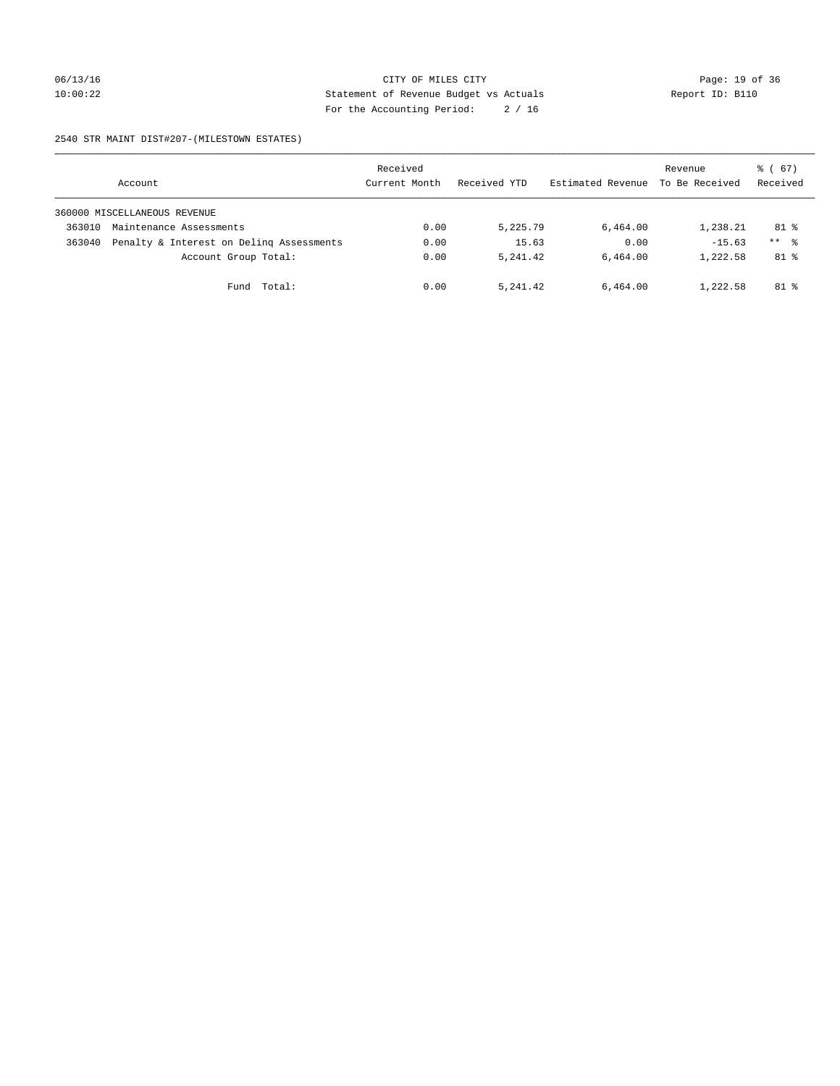## 06/13/16 Page: 19 of 36 10:00:22 Statement of Revenue Budget vs Actuals Report ID: B110 For the Accounting Period: 2 / 16

#### 2540 STR MAINT DIST#207-(MILESTOWN ESTATES)

|        | Account                                  | Received<br>Current Month | Received YTD | Estimated Revenue | Revenue<br>To Be Received | $\frac{1}{6}$ (67)<br>Received |
|--------|------------------------------------------|---------------------------|--------------|-------------------|---------------------------|--------------------------------|
|        | 360000 MISCELLANEOUS REVENUE             |                           |              |                   |                           |                                |
| 363010 | Maintenance Assessments                  | 0.00                      | 5,225.79     | 6,464.00          | 1,238.21                  | $81$ %                         |
| 363040 | Penalty & Interest on Deling Assessments | 0.00                      | 15.63        | 0.00              | $-15.63$                  | $***$ %                        |
|        | Account Group Total:                     | 0.00                      | 5, 241, 42   | 6,464.00          | 1,222.58                  | $81$ %                         |
|        | Total:<br>Fund                           | 0.00                      | 5, 241, 42   | 6,464.00          | 1,222.58                  | 81 %                           |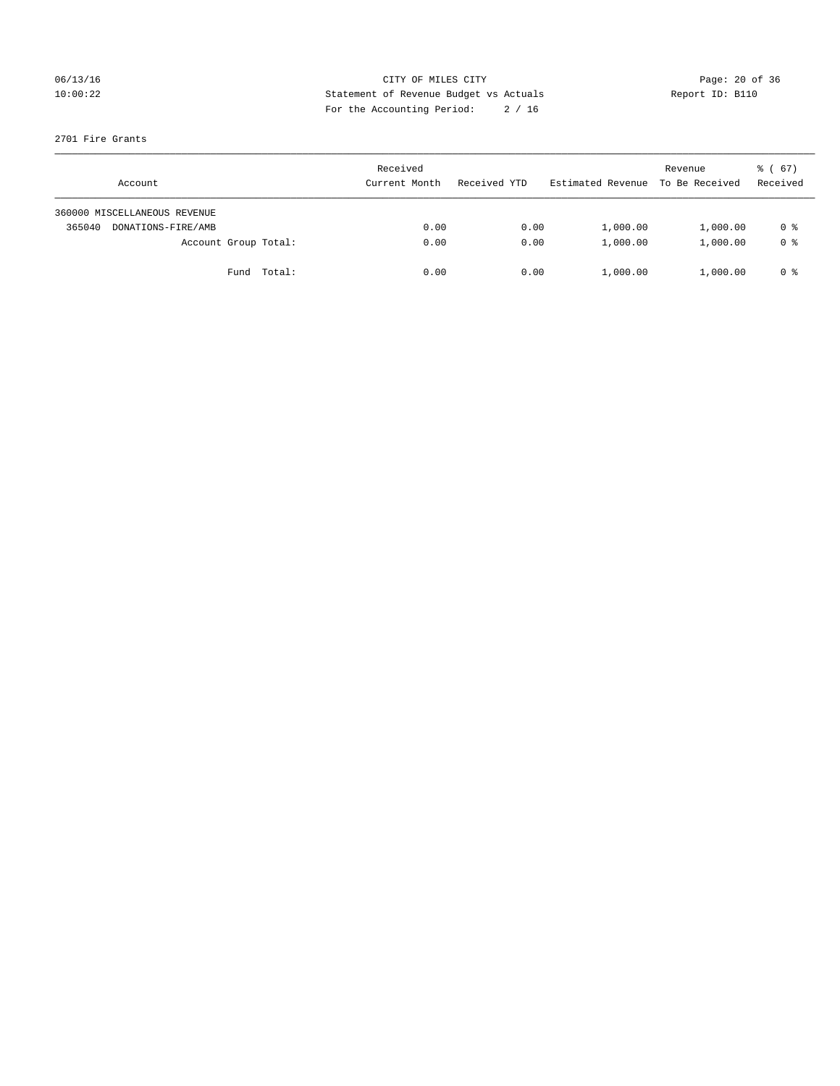## 06/13/16 Page: 20 of 36 10:00:22 Statement of Revenue Budget vs Actuals Report ID: B110 For the Accounting Period: 2 / 16

#### 2701 Fire Grants

| Account                      | Received<br>Current Month | Received YTD | Estimated Revenue | Revenue<br>To Be Received | $\frac{1}{6}$ (67)<br>Received |
|------------------------------|---------------------------|--------------|-------------------|---------------------------|--------------------------------|
| 360000 MISCELLANEOUS REVENUE |                           |              |                   |                           |                                |
| 365040<br>DONATIONS-FIRE/AMB | 0.00                      | 0.00         | 1,000.00          | 1,000.00                  | 0 %                            |
| Account Group Total:         | 0.00                      | 0.00         | 1,000.00          | 1,000.00                  | 0 <sup>8</sup>                 |
| Fund Total:                  | 0.00                      | 0.00         | 1,000.00          | 1,000.00                  | 0 %                            |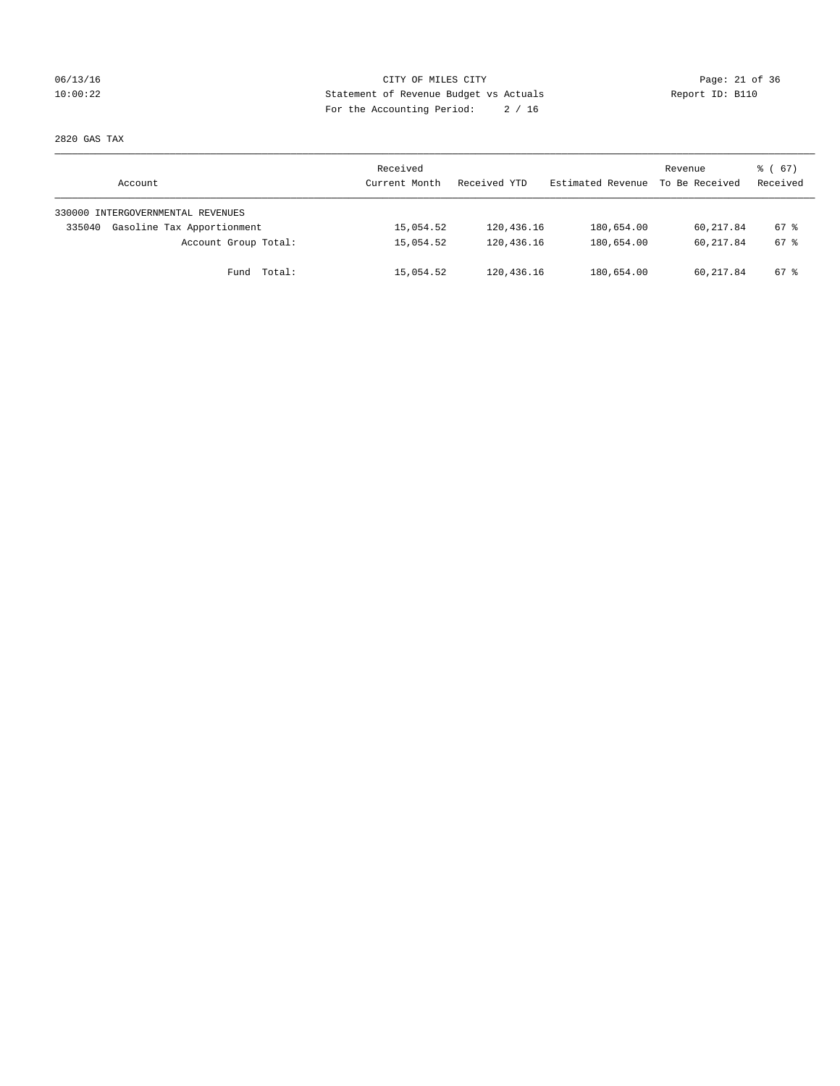## 06/13/16 Page: 21 of 36 10:00:22 Statement of Revenue Budget vs Actuals Report ID: B110 For the Accounting Period: 2 / 16

2820 GAS TAX

| Account                              | Received<br>Current Month | Received YTD | Estimated Revenue | Revenue<br>To Be Received | 8 ( 67 )<br>Received |
|--------------------------------------|---------------------------|--------------|-------------------|---------------------------|----------------------|
| 330000 INTERGOVERNMENTAL REVENUES    |                           |              |                   |                           |                      |
| Gasoline Tax Apportionment<br>335040 | 15,054.52                 | 120,436.16   | 180,654.00        | 60,217.84                 | 67 %                 |
| Account Group Total:                 | 15,054.52                 | 120,436.16   | 180,654.00        | 60,217.84                 | 67 %                 |
| Fund Total:                          | 15,054.52                 | 120,436.16   | 180,654.00        | 60,217.84                 | 67 %                 |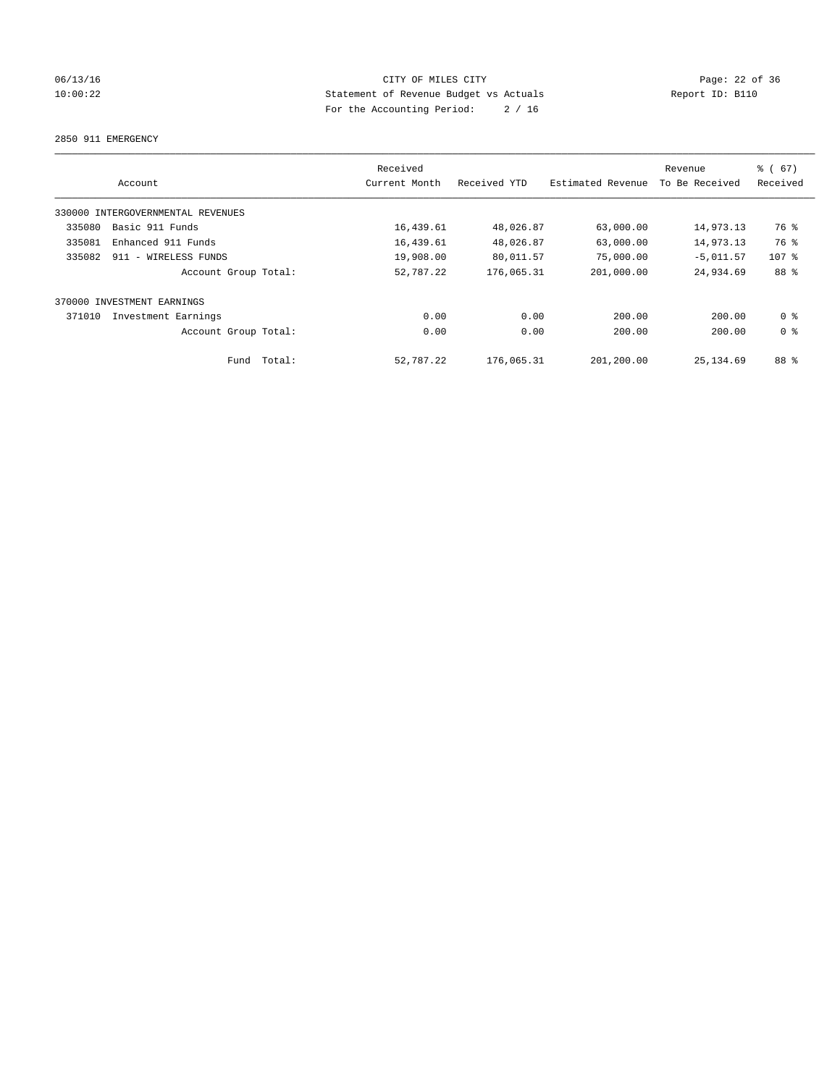## 06/13/16 Page: 22 of 36 10:00:22 Statement of Revenue Budget vs Actuals Report ID: B110 For the Accounting Period: 2 / 16

2850 911 EMERGENCY

| Account                           | Received<br>Current Month | Received YTD | Estimated Revenue | Revenue<br>To Be Received | % (67)<br>Received |
|-----------------------------------|---------------------------|--------------|-------------------|---------------------------|--------------------|
| 330000 INTERGOVERNMENTAL REVENUES |                           |              |                   |                           |                    |
| Basic 911 Funds<br>335080         | 16,439.61                 | 48,026.87    | 63,000.00         | 14,973.13                 | 76 %               |
| 335081<br>Enhanced 911 Funds      | 16,439.61                 | 48,026.87    | 63,000.00         | 14,973.13                 | 76 %               |
| 335082<br>911 - WIRELESS FUNDS    | 19,908.00                 | 80,011.57    | 75,000.00         | $-5,011.57$               | $107$ %            |
| Account Group Total:              | 52,787.22                 | 176,065.31   | 201,000.00        | 24,934.69                 | 88 %               |
| INVESTMENT EARNINGS<br>370000     |                           |              |                   |                           |                    |
| 371010<br>Investment Earnings     | 0.00                      | 0.00         | 200.00            | 200.00                    | 0 <sup>8</sup>     |
| Account Group Total:              | 0.00                      | 0.00         | 200.00            | 200.00                    | 0 <sup>8</sup>     |
| Total:<br>Fund                    | 52,787.22                 | 176,065.31   | 201,200.00        | 25, 134, 69               | 88 %               |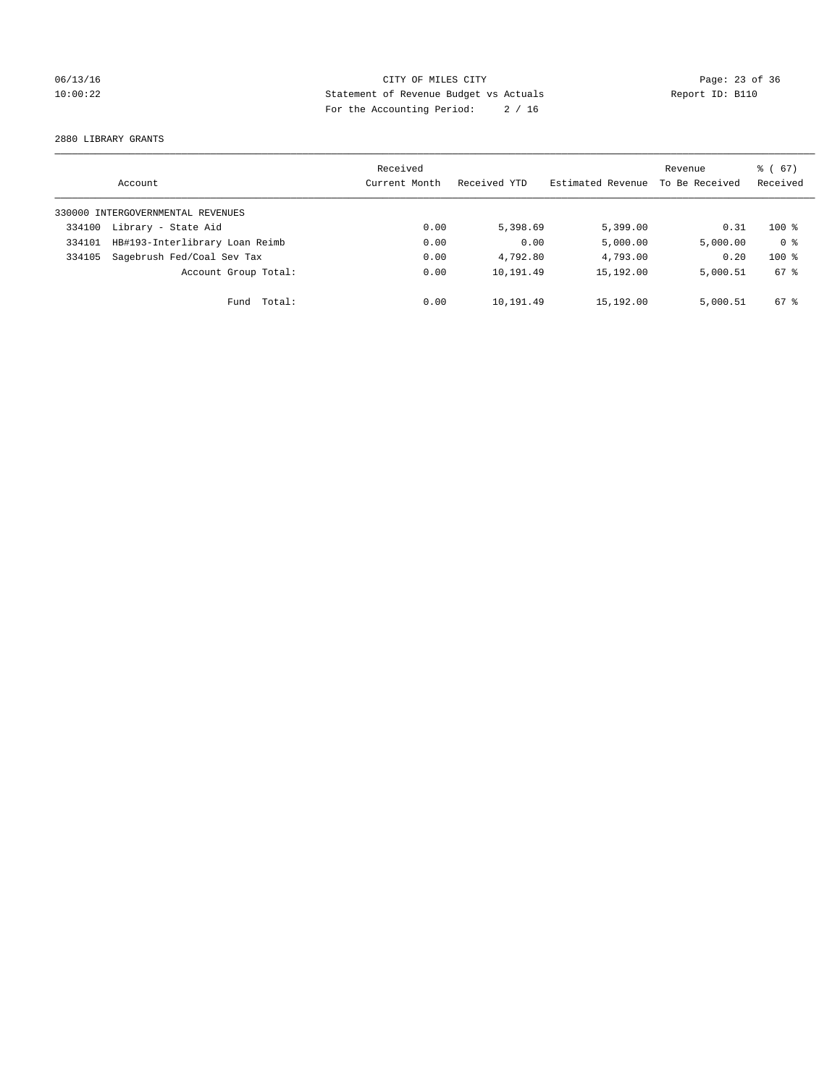## 06/13/16 Page: 23 of 36 10:00:22 Statement of Revenue Budget vs Actuals Report ID: B110 For the Accounting Period: 2 / 16

2880 LIBRARY GRANTS

|        | Account                           | Received<br>Current Month | Received YTD | Estimated Revenue | Revenue<br>To Be Received | $\frac{6}{6}$ (67)<br>Received |
|--------|-----------------------------------|---------------------------|--------------|-------------------|---------------------------|--------------------------------|
|        | 330000 INTERGOVERNMENTAL REVENUES |                           |              |                   |                           |                                |
| 334100 | Library - State Aid               | 0.00                      | 5,398.69     | 5,399.00          | 0.31                      | $100*$                         |
| 334101 | HB#193-Interlibrary Loan Reimb    | 0.00                      | 0.00         | 5,000.00          | 5,000.00                  | 0 <sup>8</sup>                 |
| 334105 | Sagebrush Fed/Coal Sev Tax        | 0.00                      | 4,792.80     | 4,793.00          | 0.20                      | $100*$                         |
|        | Account Group Total:              | 0.00                      | 10,191.49    | 15,192.00         | 5,000.51                  | 67 %                           |
|        | Total:<br>Fund                    | 0.00                      | 10,191.49    | 15,192.00         | 5,000.51                  | 67 %                           |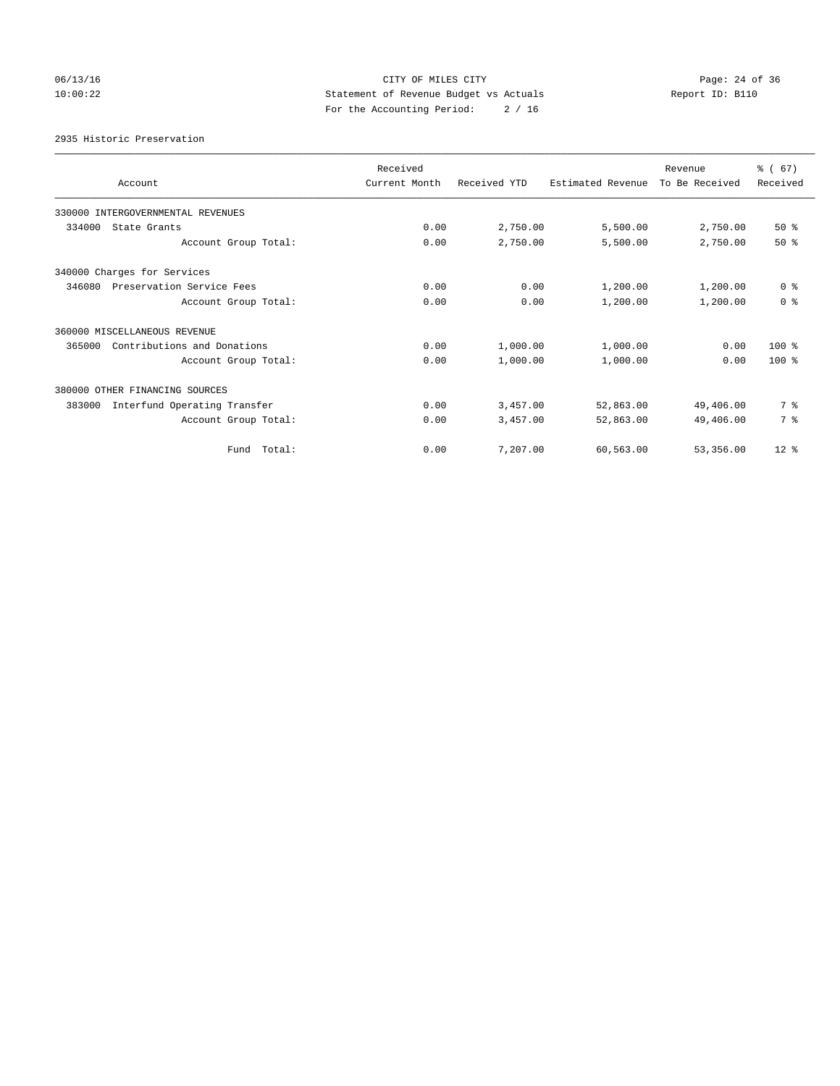## 06/13/16 Page: 24 of 36 10:00:22 Statement of Revenue Budget vs Actuals Report ID: B110 For the Accounting Period: 2 / 16

2935 Historic Preservation

| Account                                | Received<br>Current Month | Received YTD | Estimated Revenue | Revenue<br>To Be Received | % (67)<br>Received |
|----------------------------------------|---------------------------|--------------|-------------------|---------------------------|--------------------|
| 330000 INTERGOVERNMENTAL REVENUES      |                           |              |                   |                           |                    |
| 334000<br>State Grants                 | 0.00                      | 2,750.00     | 5,500.00          | 2,750.00                  | 50%                |
| Account Group Total:                   | 0.00                      | 2,750.00     | 5,500.00          | 2,750.00                  | $50*$              |
| 340000 Charges for Services            |                           |              |                   |                           |                    |
| 346080<br>Preservation Service Fees    | 0.00                      | 0.00         | 1,200.00          | 1,200.00                  | 0 <sup>8</sup>     |
| Account Group Total:                   | 0.00                      | 0.00         | 1,200.00          | 1,200.00                  | 0 <sup>8</sup>     |
| 360000 MISCELLANEOUS REVENUE           |                           |              |                   |                           |                    |
| Contributions and Donations<br>365000  | 0.00                      | 1,000.00     | 1,000.00          | 0.00                      | $100*$             |
| Account Group Total:                   | 0.00                      | 1,000.00     | 1,000.00          | 0.00                      | $100*$             |
| 380000 OTHER FINANCING SOURCES         |                           |              |                   |                           |                    |
| Interfund Operating Transfer<br>383000 | 0.00                      | 3,457.00     | 52,863.00         | 49,406.00                 | 7 %                |
| Account Group Total:                   | 0.00                      | 3,457.00     | 52,863.00         | 49,406.00                 | 7 %                |
| Fund Total:                            | 0.00                      | 7,207.00     | 60,563.00         | 53,356.00                 | $12*$              |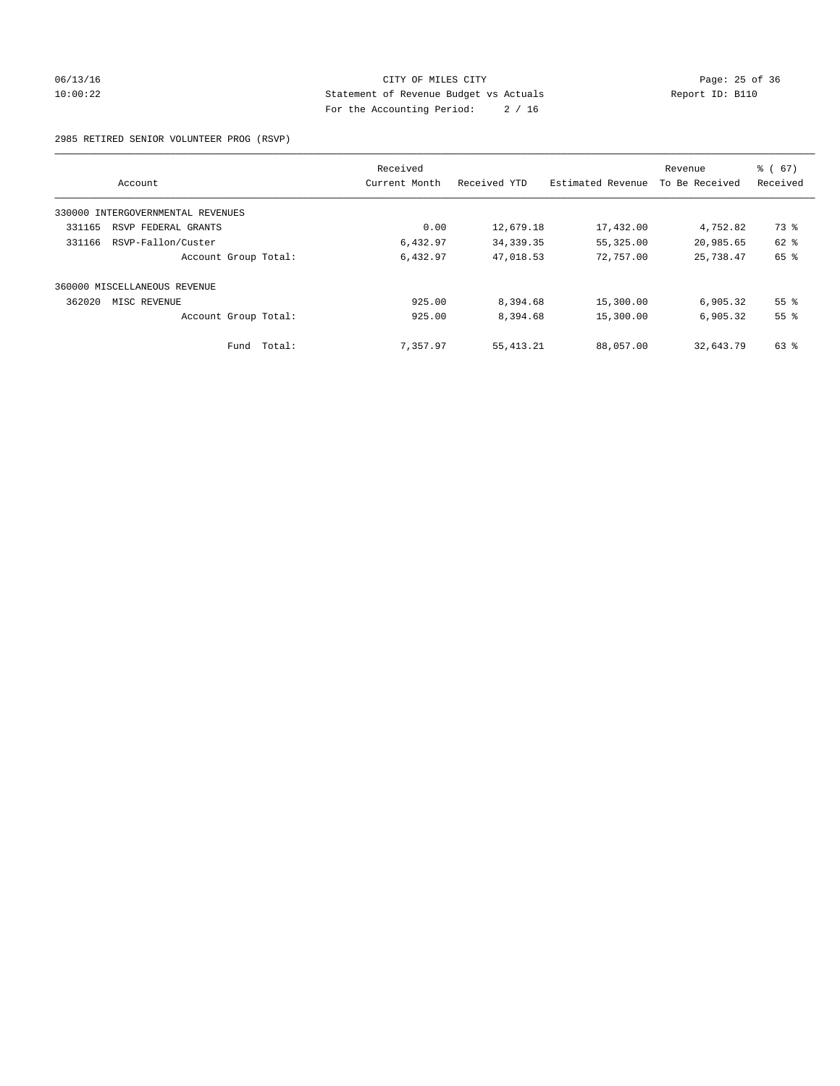## 06/13/16 Page: 25 of 36 10:00:22 Statement of Revenue Budget vs Actuals Report ID: B110 For the Accounting Period: 2 / 16

#### 2985 RETIRED SENIOR VOLUNTEER PROG (RSVP)

|                                      | Received      |              |                   | Revenue        | % (67)          |
|--------------------------------------|---------------|--------------|-------------------|----------------|-----------------|
| Account                              | Current Month | Received YTD | Estimated Revenue | To Be Received | Received        |
| INTERGOVERNMENTAL REVENUES<br>330000 |               |              |                   |                |                 |
| 331165<br>RSVP FEDERAL GRANTS        | 0.00          | 12,679.18    | 17,432.00         | 4,752.82       | 73 %            |
| RSVP-Fallon/Custer<br>331166         | 6,432.97      | 34, 339. 35  | 55,325.00         | 20,985.65      | 62 %            |
| Account Group Total:                 | 6,432.97      | 47,018.53    | 72,757.00         | 25,738.47      | 65 %            |
| 360000 MISCELLANEOUS REVENUE         |               |              |                   |                |                 |
| 362020<br>MISC REVENUE               | 925.00        | 8,394.68     | 15,300.00         | 6,905.32       | 55 <sup>8</sup> |
| Account Group Total:                 | 925.00        | 8,394.68     | 15,300.00         | 6,905.32       | 55%             |
| Fund Total:                          | 7,357.97      | 55, 413.21   | 88,057.00         | 32,643.79      | 63 %            |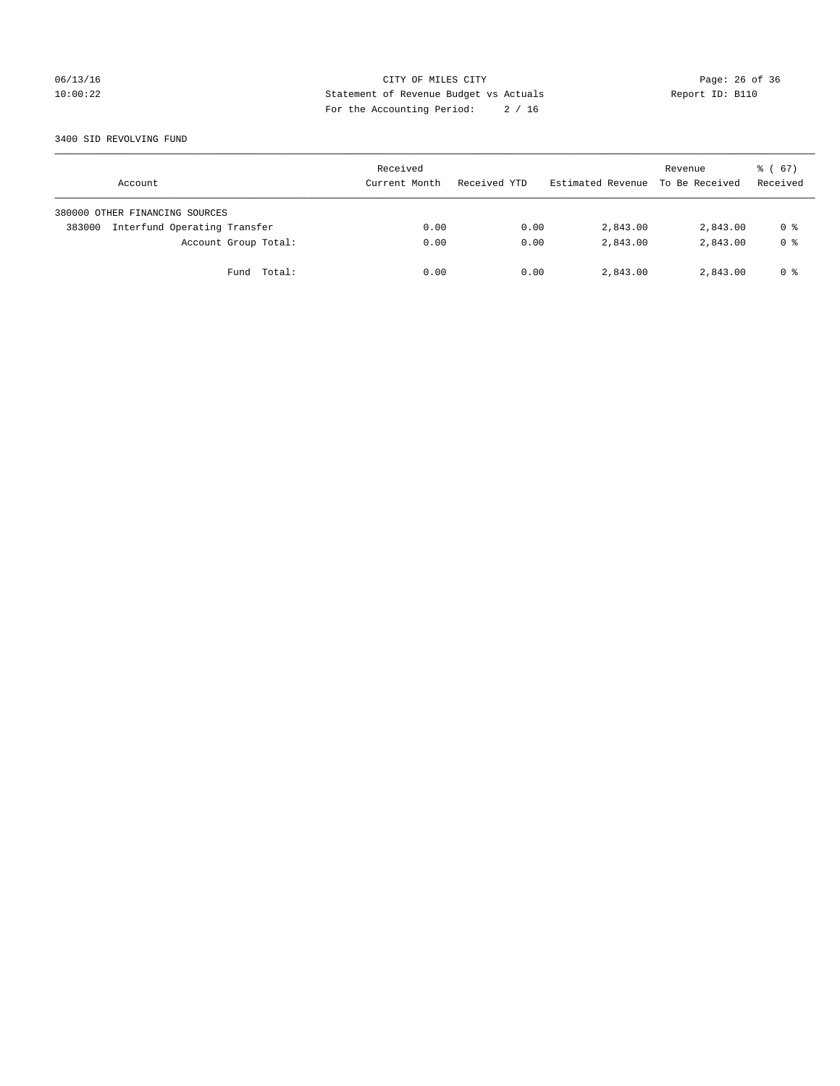## 06/13/16 Page: 26 of 36 10:00:22 Statement of Revenue Budget vs Actuals Report ID: B110 For the Accounting Period: 2 / 16

#### 3400 SID REVOLVING FUND

| Account                                | Received<br>Current Month | Received YTD | Estimated Revenue | Revenue<br>To Be Received | 8 ( 67 )<br>Received |
|----------------------------------------|---------------------------|--------------|-------------------|---------------------------|----------------------|
| 380000 OTHER FINANCING SOURCES         |                           |              |                   |                           |                      |
| Interfund Operating Transfer<br>383000 | 0.00                      | 0.00         | 2,843.00          | 2,843.00                  | 0 %                  |
| Account Group Total:                   | 0.00                      | 0.00         | 2,843.00          | 2,843.00                  | 0 <sup>8</sup>       |
| Fund Total:                            | 0.00                      | 0.00         | 2,843.00          | 2,843.00                  | 0 %                  |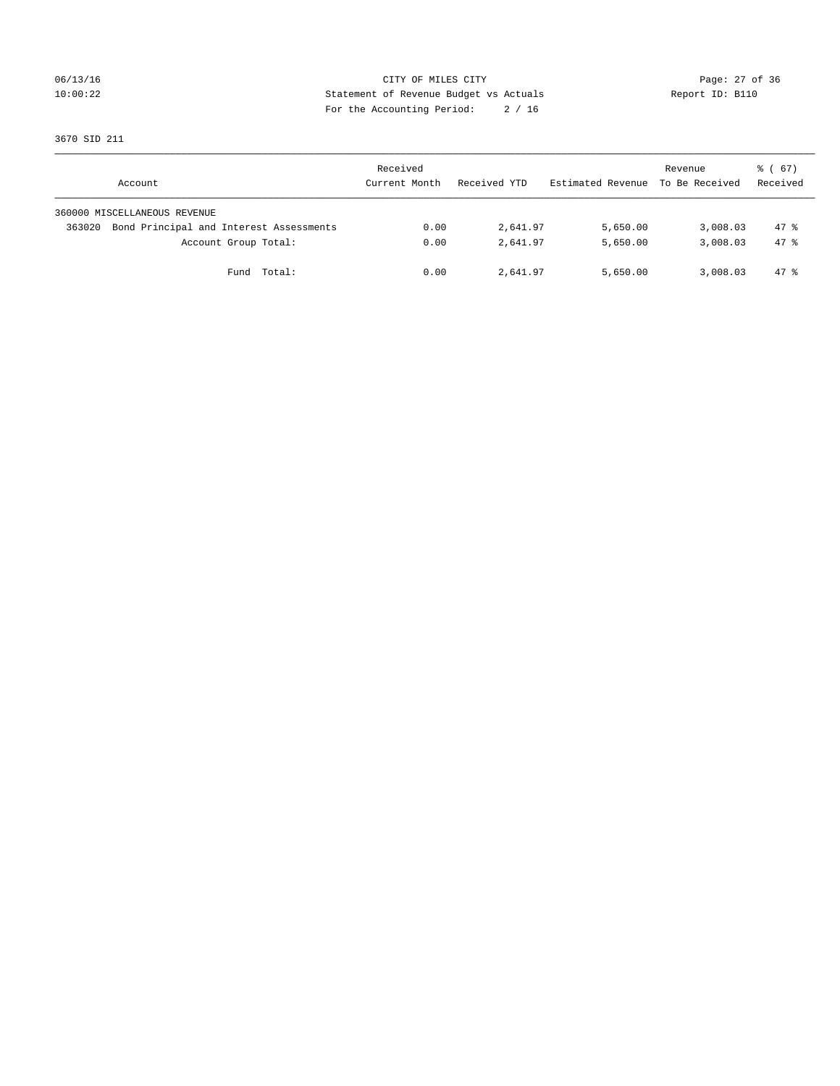## 06/13/16 Page: 27 of 36 10:00:22 Statement of Revenue Budget vs Actuals Report ID: B110 For the Accounting Period: 2 / 16

3670 SID 211

| Account                                           | Received<br>Current Month | Received YTD | Estimated Revenue | Revenue<br>To Be Received | $\frac{1}{6}$ (67)<br>Received |
|---------------------------------------------------|---------------------------|--------------|-------------------|---------------------------|--------------------------------|
| 360000 MISCELLANEOUS REVENUE                      |                           |              |                   |                           |                                |
| Bond Principal and Interest Assessments<br>363020 | 0.00                      | 2,641.97     | 5,650.00          | 3,008.03                  | $47*$                          |
| Account Group Total:                              | 0.00                      | 2,641.97     | 5,650.00          | 3,008.03                  | 47.8                           |
| Fund Total:                                       | 0.00                      | 2,641.97     | 5,650.00          | 3,008.03                  | 47 %                           |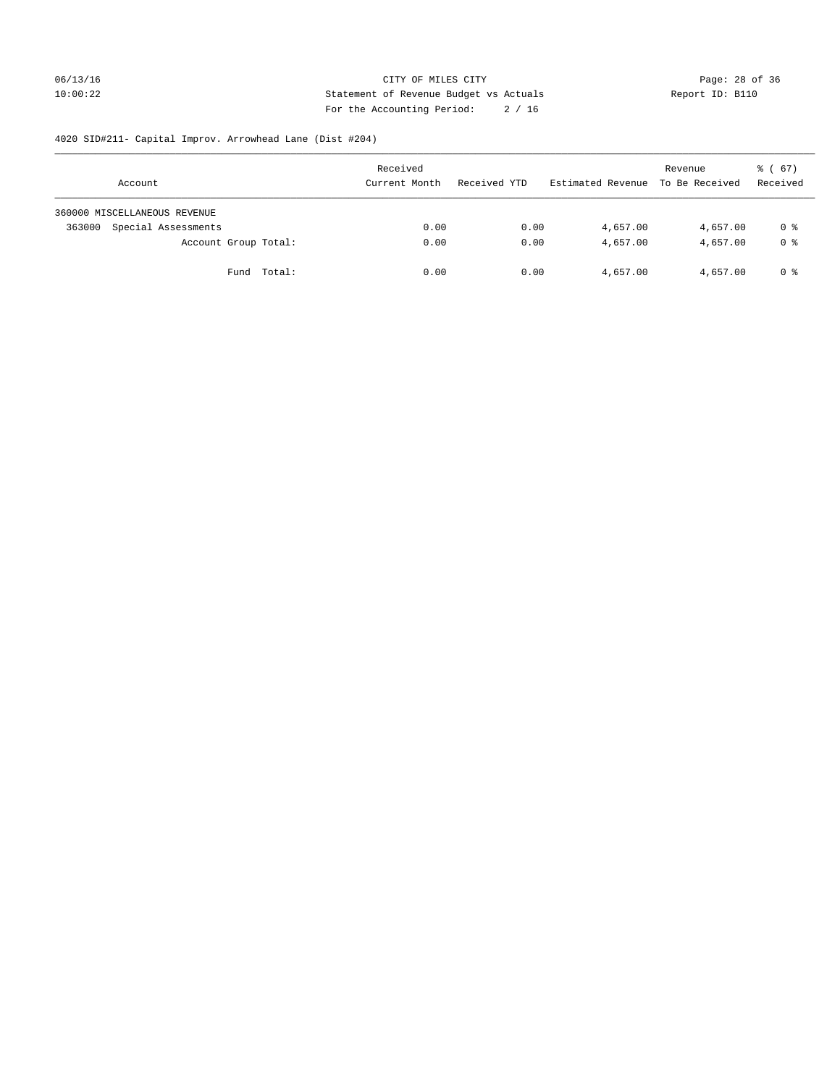## 06/13/16 Page: 28 of 36 10:00:22 Statement of Revenue Budget vs Actuals Report ID: B110 For the Accounting Period: 2 / 16

# 4020 SID#211- Capital Improv. Arrowhead Lane (Dist #204)

| Account                       | Received<br>Current Month | Received YTD | Estimated Revenue | Revenue<br>To Be Received | $\frac{3}{6}$ (67)<br>Received |
|-------------------------------|---------------------------|--------------|-------------------|---------------------------|--------------------------------|
| 360000 MISCELLANEOUS REVENUE  |                           |              |                   |                           |                                |
| Special Assessments<br>363000 | 0.00                      | 0.00         | 4,657.00          | 4,657.00                  | 0 %                            |
| Account Group Total:          | 0.00                      | 0.00         | 4,657.00          | 4,657.00                  | 0 %                            |
| Fund Total:                   | 0.00                      | 0.00         | 4,657.00          | 4,657.00                  | 0 %                            |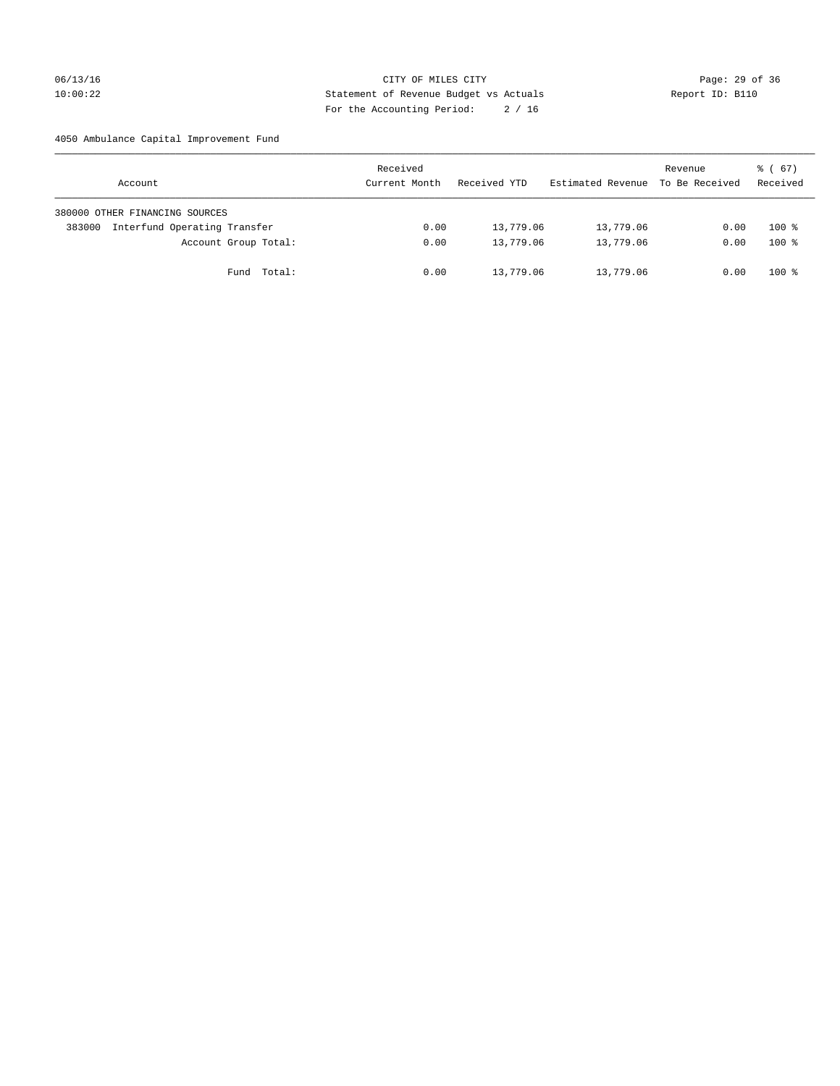## 06/13/16 Page: 29 of 36 10:00:22 Statement of Revenue Budget vs Actuals Report ID: B110 For the Accounting Period: 2 / 16

4050 Ambulance Capital Improvement Fund

| Account                                | Received<br>Current Month | Received YTD | Estimated Revenue | Revenue<br>To Be Received | $\frac{1}{6}$ (67)<br>Received |
|----------------------------------------|---------------------------|--------------|-------------------|---------------------------|--------------------------------|
| 380000 OTHER FINANCING SOURCES         |                           |              |                   |                           |                                |
| Interfund Operating Transfer<br>383000 | 0.00                      | 13,779.06    | 13,779.06         | 0.00                      | $100*$                         |
| Account Group Total:                   | 0.00                      | 13,779.06    | 13,779.06         | 0.00                      | $100*$                         |
| Fund Total:                            | 0.00                      | 13,779.06    | 13,779.06         | 0.00                      | $100*$                         |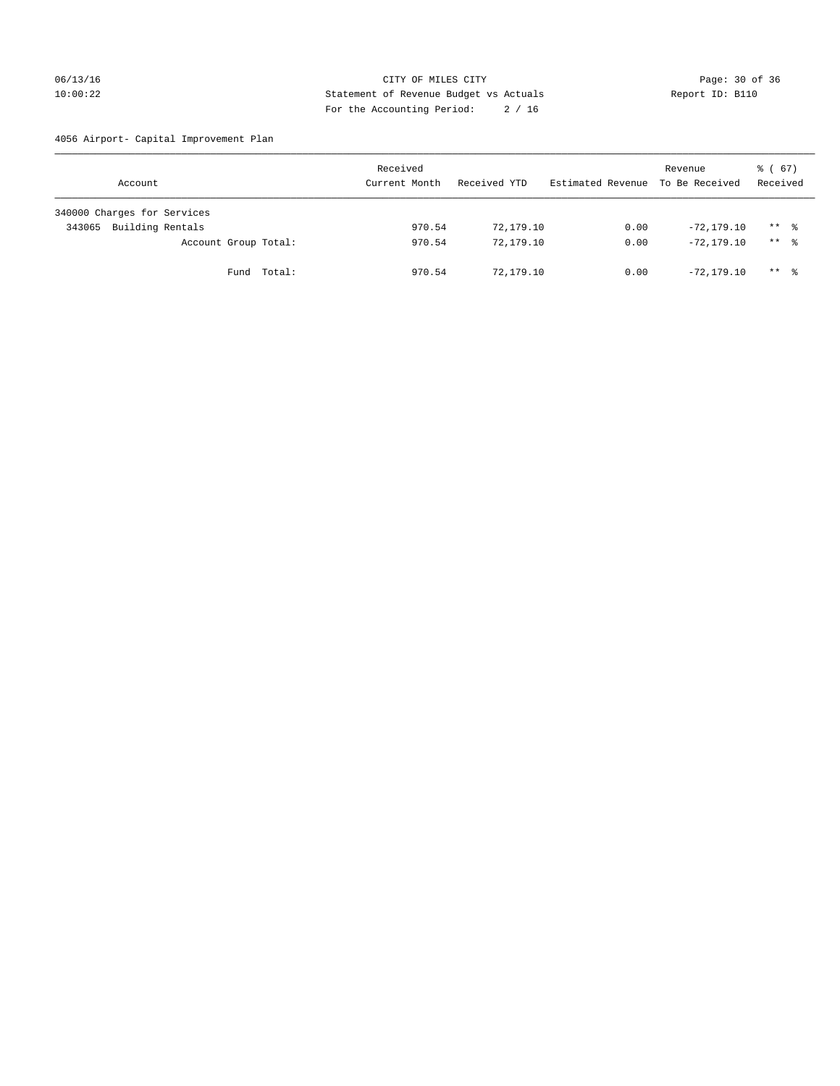## 06/13/16 Page: 30 of 36 10:00:22 Statement of Revenue Budget vs Actuals Report ID: B110 For the Accounting Period: 2 / 16

4056 Airport- Capital Improvement Plan

| Account                     | Received<br>Current Month | Received YTD | Estimated Revenue | Revenue<br>To Be Received | $\frac{1}{6}$ (67)<br>Received |
|-----------------------------|---------------------------|--------------|-------------------|---------------------------|--------------------------------|
| 340000 Charges for Services |                           |              |                   |                           |                                |
| Building Rentals<br>343065  | 970.54                    | 72,179.10    | 0.00              | $-72.179.10$              | $***$ %                        |
| Account Group Total:        | 970.54                    | 72,179.10    | 0.00              | $-72, 179, 10$            | $***$ %                        |
| Fund Total:                 | 970.54                    | 72,179.10    | 0.00              | $-72.179.10$              | ** *                           |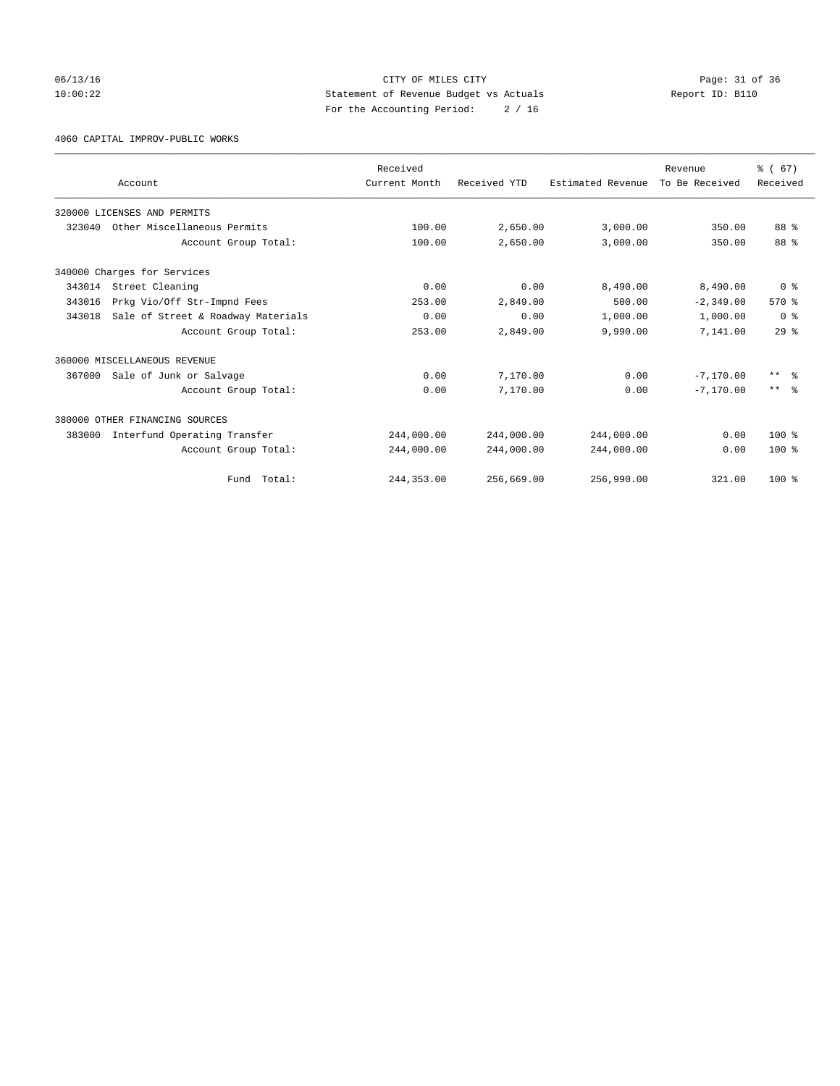06/13/16 Page: 31 of 36 10:00:22 Statement of Revenue Budget vs Actuals Report ID: B110 For the Accounting Period: 2 / 16

4060 CAPITAL IMPROV-PUBLIC WORKS

|        |                                    | Received      |              |                   | Revenue        | % (67)          |
|--------|------------------------------------|---------------|--------------|-------------------|----------------|-----------------|
|        | Account                            | Current Month | Received YTD | Estimated Revenue | To Be Received | Received        |
|        | 320000 LICENSES AND PERMITS        |               |              |                   |                |                 |
| 323040 | Other Miscellaneous Permits        | 100.00        | 2,650.00     | 3,000.00          | 350.00         | 88 %            |
|        | Account Group Total:               | 100.00        | 2,650.00     | 3,000.00          | 350.00         | 88 %            |
|        | 340000 Charges for Services        |               |              |                   |                |                 |
| 343014 | Street Cleaning                    | 0.00          | 0.00         | 8,490.00          | 8,490.00       | 0 <sup>8</sup>  |
| 343016 | Prkg Vio/Off Str-Impnd Fees        | 253.00        | 2,849.00     | 500.00            | $-2, 349.00$   | 570%            |
| 343018 | Sale of Street & Roadway Materials | 0.00          | 0.00         | 1,000.00          | 1,000.00       | 0 <sup>8</sup>  |
|        | Account Group Total:               | 253.00        | 2,849.00     | 9,990.00          | 7,141.00       | 29 <sup>8</sup> |
|        | 360000 MISCELLANEOUS REVENUE       |               |              |                   |                |                 |
| 367000 | Sale of Junk or Salvage            | 0.00          | 7,170.00     | 0.00              | $-7.170.00$    | $***$ $\approx$ |
|        | Account Group Total:               | 0.00          | 7,170.00     | 0.00              | $-7.170.00$    | $***$ $\approx$ |
|        | 380000 OTHER FINANCING SOURCES     |               |              |                   |                |                 |
| 383000 | Interfund Operating Transfer       | 244,000.00    | 244,000.00   | 244,000.00        | 0.00           | $100*$          |
|        | Account Group Total:               | 244,000.00    | 244,000.00   | 244,000.00        | 0.00           | $100*$          |
|        | Fund Total:                        | 244, 353.00   | 256,669.00   | 256,990.00        | 321.00         | $100*$          |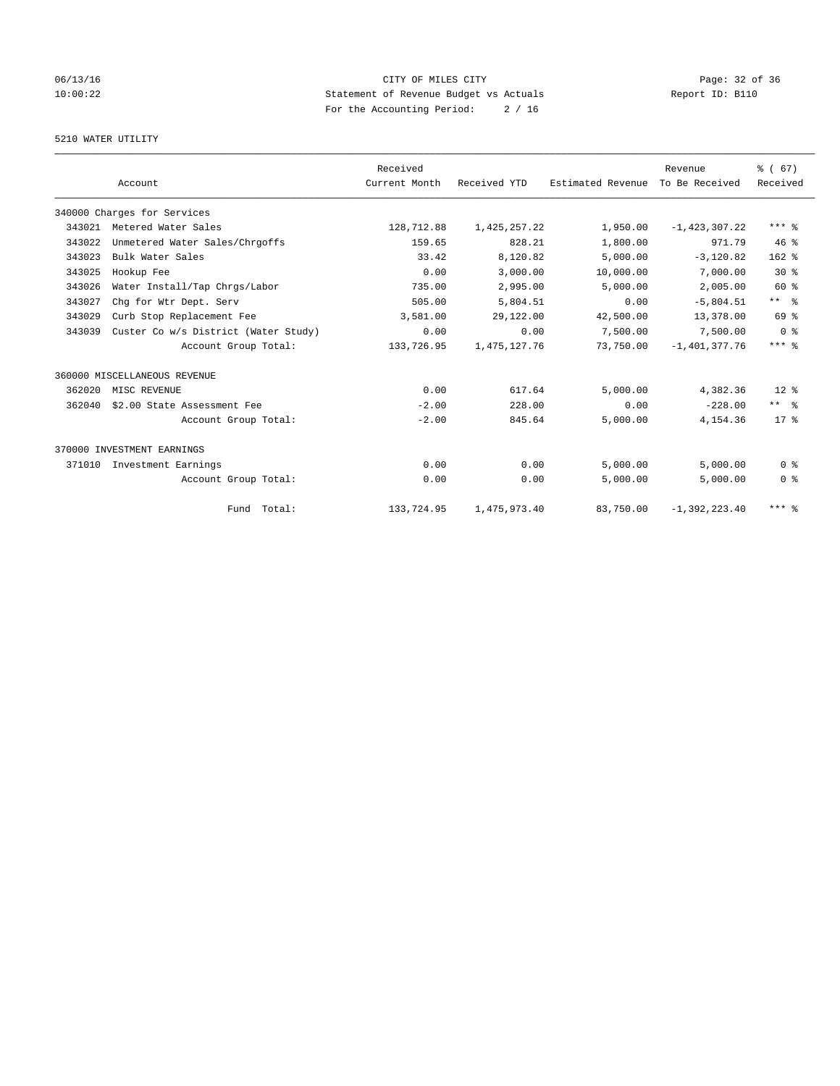## 06/13/16 Page: 32 of 36 10:00:22 Statement of Revenue Budget vs Actuals Report ID: B110 For the Accounting Period: 2 / 16

## 5210 WATER UTILITY

|        |                                      | Received      |                 |                   | Revenue         | % (67)              |
|--------|--------------------------------------|---------------|-----------------|-------------------|-----------------|---------------------|
|        | Account                              | Current Month | Received YTD    | Estimated Revenue | To Be Received  | Received            |
|        | 340000 Charges for Services          |               |                 |                   |                 |                     |
| 343021 | Metered Water Sales                  | 128,712.88    | 1,425,257.22    | 1,950.00          | $-1,423,307.22$ | $***$ $%$           |
| 343022 | Unmetered Water Sales/Chrgoffs       | 159.65        | 828.21          | 1,800.00          | 971.79          | 46%                 |
| 343023 | Bulk Water Sales                     | 33.42         | 8,120.82        | 5,000.00          | $-3,120.82$     | $162$ %             |
| 343025 | Hookup Fee                           | 0.00          | 3,000.00        | 10,000.00         | 7,000.00        | $30*$               |
| 343026 | Water Install/Tap Chrgs/Labor        | 735.00        | 2,995.00        | 5,000.00          | 2,005.00        | $60*$               |
| 343027 | Chq for Wtr Dept. Serv               | 505.00        | 5,804.51        | 0.00              | $-5,804.51$     | $***$ $\frac{6}{5}$ |
| 343029 | Curb Stop Replacement Fee            | 3,581.00      | 29,122.00       | 42,500.00         | 13,378.00       | 69 %                |
| 343039 | Custer Co w/s District (Water Study) | 0.00          | 0.00            | 7,500.00          | 7,500.00        | 0 <sup>8</sup>      |
|        | Account Group Total:                 | 133,726.95    | 1, 475, 127. 76 | 73,750.00         | $-1,401,377.76$ | $***$ $%$           |
|        | 360000 MISCELLANEOUS REVENUE         |               |                 |                   |                 |                     |
| 362020 | MISC REVENUE                         | 0.00          | 617.64          | 5,000.00          | 4,382.36        | $12*$               |
| 362040 | \$2.00 State Assessment Fee          | $-2.00$       | 228.00          | 0.00              | $-228.00$       | $***$ $ -$          |
|        | Account Group Total:                 | $-2.00$       | 845.64          | 5,000.00          | 4,154.36        | $17*$               |
|        | 370000 INVESTMENT EARNINGS           |               |                 |                   |                 |                     |
| 371010 | Investment Earnings                  | 0.00          | 0.00            | 5.000.00          | 5.000.00        | 0 <sup>8</sup>      |
|        | Account Group Total:                 | 0.00          | 0.00            | 5,000.00          | 5,000.00        | 0 <sup>8</sup>      |
|        | Fund Total:                          | 133,724.95    | 1,475,973.40    | 83,750.00         | $-1,392,223.40$ | $***$ $%$           |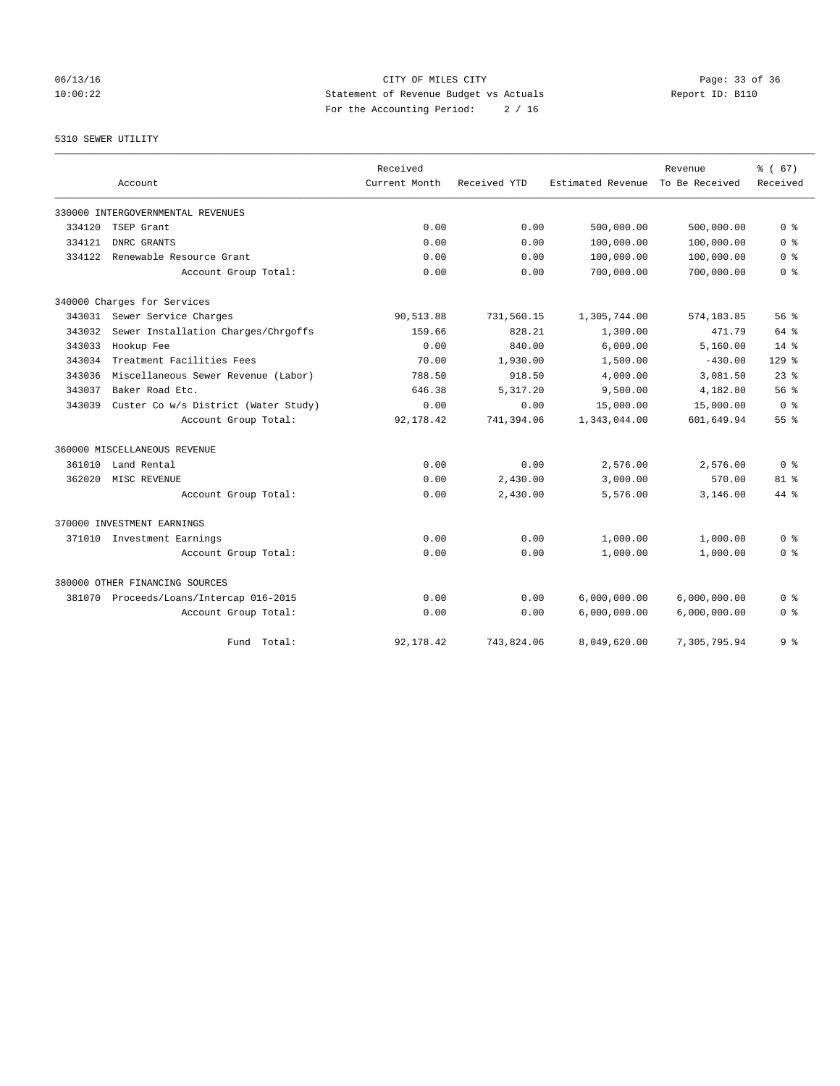06/13/16 Page: 33 of 36 10:00:22 Statement of Revenue Budget vs Actuals Report ID: B110 For the Accounting Period: 2 / 16

#### 5310 SEWER UTILITY

|        |                                         | Received      |              |                   | Revenue        | % (67)          |
|--------|-----------------------------------------|---------------|--------------|-------------------|----------------|-----------------|
|        | Account                                 | Current Month | Received YTD | Estimated Revenue | To Be Received | Received        |
|        | 330000 INTERGOVERNMENTAL REVENUES       |               |              |                   |                |                 |
| 334120 | TSEP Grant                              | 0.00          | 0.00         | 500,000.00        | 500,000.00     | 0 <sup>8</sup>  |
| 334121 | DNRC GRANTS                             | 0.00          | 0.00         | 100,000.00        | 100,000.00     | 0 <sup>8</sup>  |
| 334122 | Renewable Resource Grant                | 0.00          | 0.00         | 100,000.00        | 100,000.00     | 0 <sup>8</sup>  |
|        | Account Group Total:                    | 0.00          | 0.00         | 700,000.00        | 700,000.00     | 0 <sup>8</sup>  |
|        | 340000 Charges for Services             |               |              |                   |                |                 |
| 343031 | Sewer Service Charges                   | 90,513.88     | 731,560.15   | 1,305,744.00      | 574,183.85     | 56%             |
| 343032 | Sewer Installation Charges/Chrgoffs     | 159.66        | 828.21       | 1,300.00          | 471.79         | $64$ $%$        |
| 343033 | Hookup Fee                              | 0.00          | 840.00       | 6,000.00          | 5,160.00       | $14*$           |
| 343034 | Treatment Facilities Fees               | 70.00         | 1,930.00     | 1,500.00          | $-430.00$      | $129$ $%$       |
| 343036 | Miscellaneous Sewer Revenue (Labor)     | 788.50        | 918.50       | 4,000.00          | 3,081.50       | $23$ $%$        |
| 343037 | Baker Road Etc.                         | 646.38        | 5,317.20     | 9,500.00          | 4,182.80       | 56%             |
| 343039 | Custer Co w/s District (Water Study)    | 0.00          | 0.00         | 15,000.00         | 15,000.00      | 0 <sup>8</sup>  |
|        | Account Group Total:                    | 92,178.42     | 741,394.06   | 1,343,044.00      | 601,649.94     | 55 <sup>8</sup> |
|        | 360000 MISCELLANEOUS REVENUE            |               |              |                   |                |                 |
| 361010 | Land Rental                             | 0.00          | 0.00         | 2,576.00          | 2,576.00       | 0 <sup>8</sup>  |
| 362020 | MISC REVENUE                            | 0.00          | 2,430.00     | 3,000.00          | 570.00         | 81 <sup>8</sup> |
|        | Account Group Total:                    | 0.00          | 2,430.00     | 5,576.00          | 3,146.00       | $44*$           |
|        | 370000 INVESTMENT EARNINGS              |               |              |                   |                |                 |
| 371010 | Investment Earnings                     | 0.00          | 0.00         | 1,000.00          | 1,000.00       | 0 <sup>8</sup>  |
|        | Account Group Total:                    | 0.00          | 0.00         | 1,000.00          | 1,000.00       | 0 <sup>8</sup>  |
|        | 380000 OTHER FINANCING SOURCES          |               |              |                   |                |                 |
|        | 381070 Proceeds/Loans/Intercap 016-2015 | 0.00          | 0.00         | 6,000,000.00      | 6,000,000.00   | 0 <sup>8</sup>  |
|        | Account Group Total:                    | 0.00          | 0.00         | 6,000,000.00      | 6,000,000.00   | 0 <sup>8</sup>  |
|        | Fund Total:                             | 92,178.42     | 743,824.06   | 8,049,620.00      | 7,305,795.94   | 9 <sup>8</sup>  |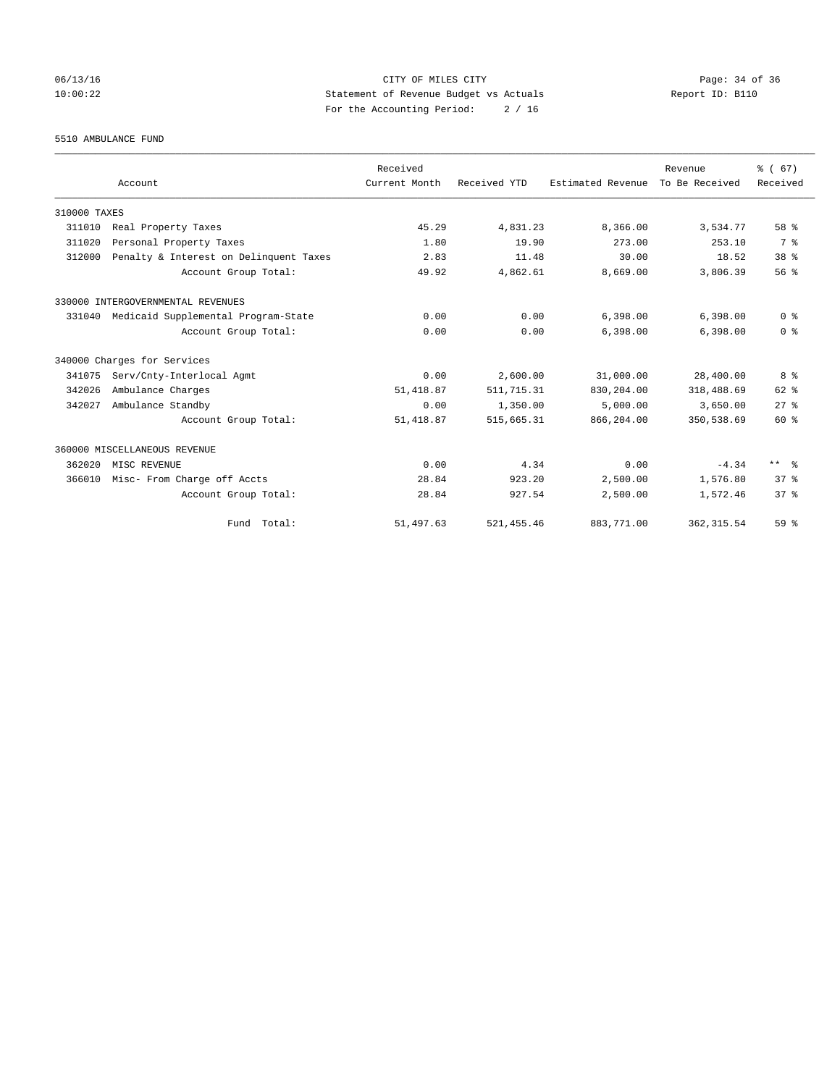## 06/13/16 Page: 34 of 36 10:00:22 Statement of Revenue Budget vs Actuals Report ID: B110 For the Accounting Period: 2 / 16

5510 AMBULANCE FUND

|              |                                        | Received      |              |                   | Revenue        | % (67)          |
|--------------|----------------------------------------|---------------|--------------|-------------------|----------------|-----------------|
|              | Account                                | Current Month | Received YTD | Estimated Revenue | To Be Received | Received        |
| 310000 TAXES |                                        |               |              |                   |                |                 |
| 311010       | Real Property Taxes                    | 45.29         | 4,831.23     | 8,366.00          | 3,534.77       | 58 %            |
| 311020       | Personal Property Taxes                | 1.80          | 19.90        | 273.00            | 253.10         | 7 %             |
| 312000       | Penalty & Interest on Delinquent Taxes | 2.83          | 11.48        | 30.00             | 18.52          | 38 <sup>8</sup> |
|              | Account Group Total:                   | 49.92         | 4,862.61     | 8,669.00          | 3,806.39       | 56%             |
|              | 330000 INTERGOVERNMENTAL REVENUES      |               |              |                   |                |                 |
| 331040       | Medicaid Supplemental Program-State    | 0.00          | 0.00         | 6,398.00          | 6,398.00       | 0 <sup>8</sup>  |
|              | Account Group Total:                   | 0.00          | 0.00         | 6.398.00          | 6,398.00       | 0 <sup>8</sup>  |
|              | 340000 Charges for Services            |               |              |                   |                |                 |
| 341075       | Serv/Cnty-Interlocal Agmt              | 0.00          | 2,600.00     | 31,000.00         | 28,400.00      | 8 %             |
| 342026       | Ambulance Charges                      | 51, 418.87    | 511, 715.31  | 830,204.00        | 318,488.69     | 62 %            |
| 342027       | Ambulance Standby                      | 0.00          | 1,350.00     | 5,000.00          | 3,650.00       | $27$ $%$        |
|              | Account Group Total:                   | 51, 418.87    | 515,665.31   | 866,204.00        | 350,538.69     | 60 %            |
|              | 360000 MISCELLANEOUS REVENUE           |               |              |                   |                |                 |
| 362020       | MISC REVENUE                           | 0.00          | 4.34         | 0.00              | $-4.34$        | ** %            |
| 366010       | Misc- From Charge off Accts            | 28.84         | 923.20       | 2,500.00          | 1,576.80       | 37 <sup>8</sup> |
|              | Account Group Total:                   | 28.84         | 927.54       | 2,500.00          | 1,572.46       | 37 <sup>8</sup> |
|              | Fund Total:                            | 51,497.63     | 521, 455.46  | 883,771.00        | 362, 315.54    | 59 <sup>8</sup> |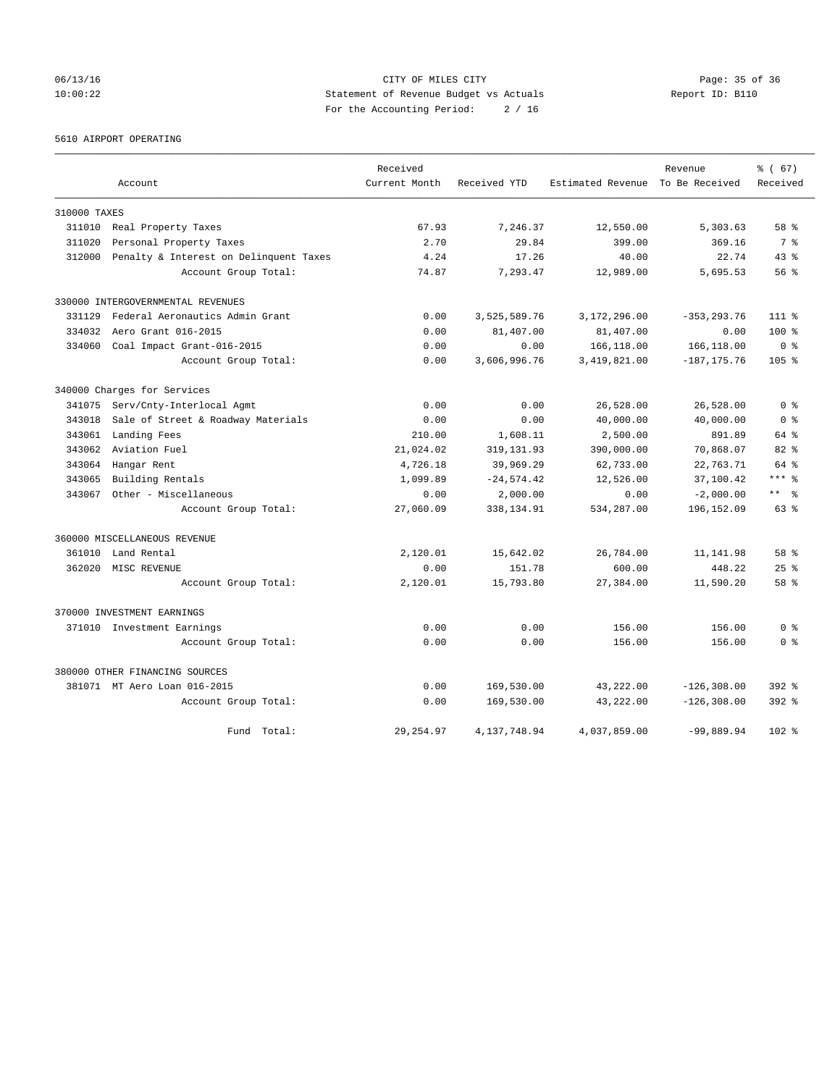## 06/13/16 Page: 35 of 36 10:00:22 Statement of Revenue Budget vs Actuals Report ID: B110 For the Accounting Period: 2 / 16

5610 AIRPORT OPERATING

|              |                                        | Received      |               |                                  | Revenue        | % (67)                  |
|--------------|----------------------------------------|---------------|---------------|----------------------------------|----------------|-------------------------|
|              | Account                                | Current Month | Received YTD  | Estimated Revenue To Be Received |                | Received                |
| 310000 TAXES |                                        |               |               |                                  |                |                         |
| 311010       | Real Property Taxes                    | 67.93         | 7,246.37      | 12,550.00                        | 5,303.63       | 58 %                    |
| 311020       | Personal Property Taxes                | 2.70          | 29.84         | 399.00                           | 369.16         | 7 %                     |
| 312000       | Penalty & Interest on Delinquent Taxes | 4.24          | 17.26         | 40.00                            | 22.74          | $43*$                   |
|              | Account Group Total:                   | 74.87         | 7,293.47      | 12,989.00                        | 5,695.53       | 56%                     |
|              | 330000 INTERGOVERNMENTAL REVENUES      |               |               |                                  |                |                         |
| 331129       | Federal Aeronautics Admin Grant        | 0.00          | 3,525,589.76  | 3,172,296.00                     | $-353, 293.76$ | $111$ %                 |
| 334032       | Aero Grant 016-2015                    | 0.00          | 81,407.00     | 81,407.00                        | 0.00           | $100*$                  |
| 334060       | Coal Impact Grant-016-2015             | 0.00          | 0.00          | 166,118.00                       | 166,118.00     | 0 <sup>8</sup>          |
|              | Account Group Total:                   | 0.00          | 3,606,996.76  | 3,419,821.00                     | $-187, 175.76$ | 105 <sub>8</sub>        |
|              | 340000 Charges for Services            |               |               |                                  |                |                         |
| 341075       | Serv/Cnty-Interlocal Agmt              | 0.00          | 0.00          | 26,528.00                        | 26,528.00      | 0 <sup>8</sup>          |
| 343018       | Sale of Street & Roadway Materials     | 0.00          | 0.00          | 40,000.00                        | 40,000.00      | 0 <sup>8</sup>          |
| 343061       | Landing Fees                           | 210.00        | 1,608.11      | 2,500.00                         | 891.89         | 64 %                    |
| 343062       | Aviation Fuel                          | 21,024.02     | 319, 131.93   | 390,000.00                       | 70,868.07      | 82%                     |
| 343064       | Hangar Rent                            | 4,726.18      | 39,969.29     | 62,733.00                        | 22,763.71      | 64 %                    |
| 343065       | Building Rentals                       | 1,099.89      | $-24, 574.42$ | 12,526.00                        | 37,100.42      | $***$ $_{8}$            |
| 343067       | Other - Miscellaneous                  | 0.00          | 2,000.00      | 0.00                             | $-2,000.00$    | $***$ $=$ $\frac{6}{5}$ |
|              | Account Group Total:                   | 27,060.09     | 338, 134.91   | 534,287.00                       | 196, 152.09    | 63 %                    |
|              | 360000 MISCELLANEOUS REVENUE           |               |               |                                  |                |                         |
| 361010       | Land Rental                            | 2,120.01      | 15,642.02     | 26,784.00                        | 11,141.98      | 58 %                    |
| 362020       | MISC REVENUE                           | 0.00          | 151.78        | 600.00                           | 448.22         | $25$ $%$                |
|              | Account Group Total:                   | 2,120.01      | 15,793.80     | 27,384.00                        | 11,590.20      | 58 %                    |
|              | 370000 INVESTMENT EARNINGS             |               |               |                                  |                |                         |
|              | 371010 Investment Earnings             | 0.00          | 0.00          | 156.00                           | 156.00         | 0 <sup>8</sup>          |
|              | Account Group Total:                   | 0.00          | 0.00          | 156.00                           | 156.00         | 0 <sup>8</sup>          |
|              | 380000 OTHER FINANCING SOURCES         |               |               |                                  |                |                         |
|              | 381071 MT Aero Loan 016-2015           | 0.00          | 169,530.00    | 43,222.00                        | $-126, 308.00$ | $392$ $%$               |
|              | Account Group Total:                   | 0.00          | 169,530.00    | 43,222.00                        | $-126, 308.00$ | $392$ $%$               |
|              | Fund<br>Total:                         | 29, 254.97    | 4,137,748.94  | 4,037,859.00                     | $-99,889.94$   | $102$ %                 |